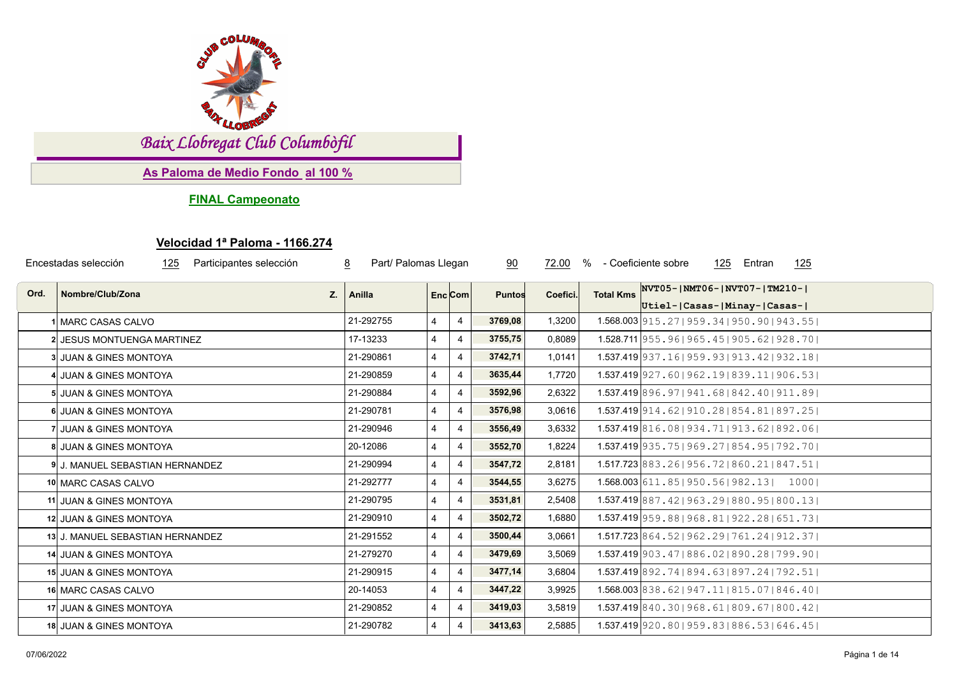

*Baix Llobregat Club Columbòfil*

**As Paloma de Medio Fondo al 100 %**

**FINAL Campeonato**

## **Velocidad 1ª Paloma - 1166.274**

| Encestadas selección<br>Participantes selección<br>8<br>125 |                                  |           | Part/ Palomas Llegan    |                | 90<br>72.00   |          | %                | - Coeficiente sobre<br>125 Entran<br><u> 125</u>                 |
|-------------------------------------------------------------|----------------------------------|-----------|-------------------------|----------------|---------------|----------|------------------|------------------------------------------------------------------|
| Ord.                                                        | Nombre/Club/Zona<br>Z.           | Anilla    | Enc Com                 |                | <b>Puntos</b> | Coefici. | <b>Total Kms</b> | NVT05- NMT06- NVT07- TM210- <br>Utiel- Casas- Minay- Casas-      |
|                                                             | 1 MARC CASAS CALVO               | 21-292755 | 4                       | $\overline{4}$ | 3769,08       | 1,3200   |                  | $1.568.003$  915.27  959.34  950.90  943.55                      |
|                                                             | 2 JESUS MONTUENGA MARTINEZ       | 17-13233  | $\overline{4}$          | $\overline{4}$ | 3755,75       | 0,8089   |                  | $1.528.711$  955.96 965.45 905.62 928.70                         |
|                                                             | 3 JUAN & GINES MONTOYA           | 21-290861 | $\overline{4}$          | 4              | 3742,71       | 1,0141   |                  | 1.537.419 937.16   959.93   913.42   932.18                      |
|                                                             | 4 JUAN & GINES MONTOYA           | 21-290859 | 4                       | $\overline{4}$ | 3635,44       | 1,7720   |                  | $1.537.419$   927.60   962.19   839.11   906.53                  |
|                                                             | 5 JUAN & GINES MONTOYA           | 21-290884 | $\overline{4}$          | $\overline{4}$ | 3592,96       | 2,6322   |                  | 1.537.419 896, 97   941, 68   842, 40   911, 89                  |
|                                                             | 6 JUAN & GINES MONTOYA           | 21-290781 | $\overline{4}$          | 4              | 3576,98       | 3,0616   |                  | $1.537.419$ 914.62   910.28   854.81   897.25                    |
|                                                             | 7 JUAN & GINES MONTOYA           | 21-290946 | $\overline{4}$          | 4              | 3556,49       | 3,6332   |                  | 1.537.419 816.08   934.71   913.62   892.06                      |
|                                                             | 8 JUAN & GINES MONTOYA           | 20-12086  | $\overline{4}$          | $\overline{4}$ | 3552,70       | 1,8224   |                  | $1.537.419$ 935.75   969.27   854.95   792.70                    |
|                                                             | 9 J. MANUEL SEBASTIAN HERNANDEZ  | 21-290994 | $\overline{4}$          | 4              | 3547,72       | 2,8181   |                  | $1.517.723 \,   883.26 \,   956.72 \,   860.21 \,   847.51 \,  $ |
|                                                             | 10 MARC CASAS CALVO              | 21-292777 | $\overline{\mathbf{4}}$ | 4              | 3544,55       | 3,6275   |                  | $1.568.003$ 611.85   950.56   982.13   1000                      |
|                                                             | 11 JUAN & GINES MONTOYA          | 21-290795 | $\overline{4}$          | 4              | 3531,81       | 2,5408   |                  | $1.537.419$ 887.42   963.29   880.95   800.13                    |
|                                                             | 12 JUAN & GINES MONTOYA          | 21-290910 | $\overline{4}$          | 4              | 3502,72       | 1,6880   |                  | $1.537.419$ 959.88   968.81   922.28   651.73                    |
|                                                             | 13 J. MANUEL SEBASTIAN HERNANDEZ | 21-291552 | $\overline{4}$          | 4              | 3500,44       | 3,0661   |                  | $1.517.723 \mid 864.52 \mid 962.29 \mid 761.24 \mid 912.37 \mid$ |
|                                                             | 14 JUAN & GINES MONTOYA          | 21-279270 | $\overline{4}$          | $\overline{4}$ | 3479,69       | 3,5069   |                  | 1.537.419 903.47   886.02   890.28   799.90                      |
|                                                             | 15 JUAN & GINES MONTOYA          | 21-290915 | $\overline{4}$          | 4              | 3477,14       | 3,6804   |                  | 1.537.419 892.74 894.63 897.24   792.51                          |
|                                                             | 16 MARC CASAS CALVO              | 20-14053  | $\overline{4}$          | $\overline{4}$ | 3447,22       | 3,9925   |                  | $1.568.003$ 838.62   947.11   815.07   846.40                    |
|                                                             | 17 JUAN & GINES MONTOYA          | 21-290852 | 4                       | 4              | 3419,03       | 3,5819   |                  | 1.537.419 840.30 968.61 809.67 800.42                            |
|                                                             | 18 JUAN & GINES MONTOYA          | 21-290782 | 4                       | $\overline{4}$ | 3413,63       | 2,5885   |                  | 1.537.419 920.80   959.83   886.53   646.45                      |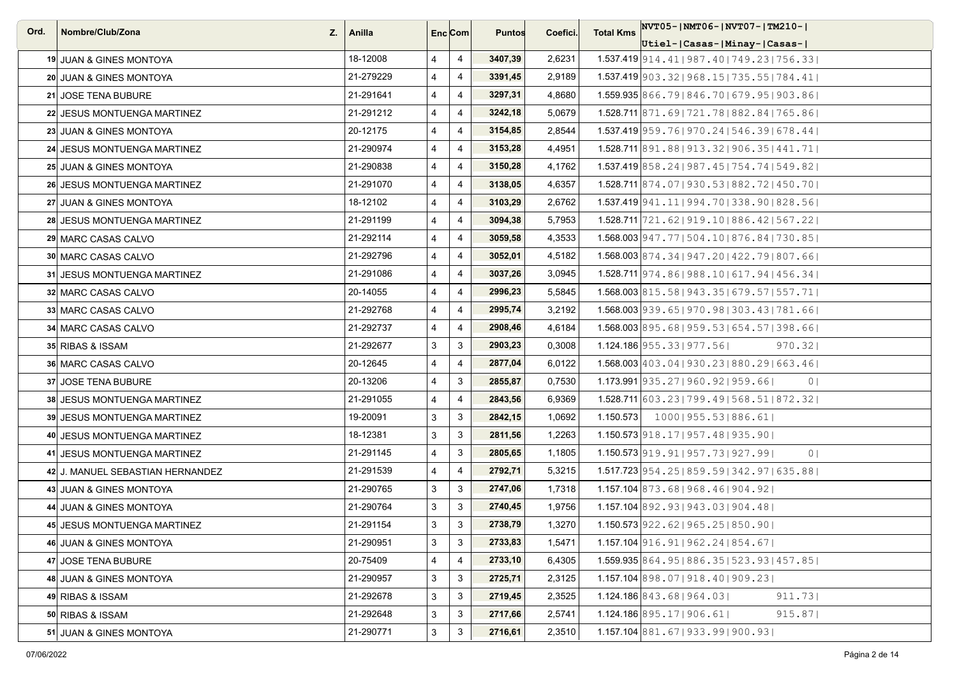| Ord. | Nombre/Club/Zona                 | $Z_i$   Anilla |                | Enc <sub>i</sub> Com | <b>Puntos</b> | Coefici. | <b>Total Kms</b> | $NVT05$ - $NMT06$ - $NVT07$ - $TM210$ -                          |
|------|----------------------------------|----------------|----------------|----------------------|---------------|----------|------------------|------------------------------------------------------------------|
|      |                                  |                |                |                      |               |          |                  | Utiel- Casas- Minay- Casas-                                      |
|      | 19 JUAN & GINES MONTOYA          | 18-12008       | $\overline{4}$ | 4                    | 3407,39       | 2,6231   |                  | $1.537.419$  914.41   987.40   749.23   756.33                   |
|      | 20 JUAN & GINES MONTOYA          | 21-279229      | 4              | 4                    | 3391,45       | 2,9189   |                  | $1.537.419$   903.32   968.15   735.55   784.41                  |
|      | 21 JOSE TENA BUBURE              | 21-291641      | $\overline{4}$ | 4                    | 3297,31       | 4,8680   |                  | 1.559.935 866.79 846.70   679.95   903.86                        |
|      | 22 JESUS MONTUENGA MARTINEZ      | 21-291212      | $\overline{4}$ | 4                    | 3242,18       | 5,0679   |                  | 1.528.711 871.69   721.78   882.84   765.86                      |
|      | 23 JUAN & GINES MONTOYA          | 20-12175       | $\overline{4}$ | 4                    | 3154,85       | 2,8544   |                  | $1.537.419$  959.76 970.24 546.39 678.44                         |
|      | 24 JESUS MONTUENGA MARTINEZ      | 21-290974      | $\overline{4}$ | $\overline{4}$       | 3153,28       | 4,4951   |                  | 1.528.711 891.88   913.32   906.35   441.71                      |
|      | 25 JUAN & GINES MONTOYA          | 21-290838      | $\overline{4}$ | 4                    | 3150,28       | 4,1762   |                  | $1.537.419$ 858.24   987.45   754.74   549.82                    |
|      | 26 JESUS MONTUENGA MARTINEZ      | 21-291070      | $\overline{4}$ | $\overline{4}$       | 3138,05       | 4,6357   |                  | 1.528.711 874.07   930.53   882.72   450.70                      |
|      | 27 JUAN & GINES MONTOYA          | 18-12102       | 4              | $\overline{4}$       | 3103,29       | 2,6762   |                  | $1.537.419$  941.11   994.70   338.90   828.56                   |
|      | 28 JESUS MONTUENGA MARTINEZ      | 21-291199      | $\overline{4}$ | 4                    | 3094,38       | 5,7953   |                  | $1.528.711$  721.62 919.10 886.42 567.22                         |
|      | 29 MARC CASAS CALVO              | 21-292114      | $\overline{4}$ | $\overline{4}$       | 3059,58       | 4,3533   |                  | 1.568.003 947.77   504.10   876.84   730.85                      |
|      | <b>30 MARC CASAS CALVO</b>       | 21-292796      | $\overline{4}$ | $\overline{4}$       | 3052,01       | 4,5182   |                  | 1.568.003 874.34   947.20   422.79   807.66                      |
|      | 31 JESUS MONTUENGA MARTINEZ      | 21-291086      | $\overline{4}$ | 4                    | 3037,26       | 3,0945   |                  | $1.528.711$  974.86 988.10 617.94 456.34                         |
|      | 32 MARC CASAS CALVO              | 20-14055       | $\overline{4}$ | $\overline{4}$       | 2996,23       | 5,5845   |                  | $1.568.003$ 815.58   943.35   679.57   557.71                    |
|      | 33 MARC CASAS CALVO              | 21-292768      | $\overline{4}$ | 4                    | 2995,74       | 3,2192   |                  | 1.568.003 939.65   970.98   303.43   781.66                      |
|      | 34 MARC CASAS CALVO              | 21-292737      | $\overline{4}$ | $\overline{4}$       | 2908,46       | 4,6184   |                  | $1.568.003$ 895.68   959.53   654.57   398.66                    |
|      | 35 RIBAS & ISSAM                 | 21-292677      | $\mathbf{3}$   | 3                    | 2903,23       | 0,3008   |                  | $1.124.186$   955.33   977.56  <br>970.32                        |
|      | <b>36 MARC CASAS CALVO</b>       | 20-12645       | $\overline{4}$ | 4                    | 2877,04       | 6,0122   |                  | 1.568.003 403.04   930.23   880.29   663.46                      |
|      | 37 JOSE TENA BUBURE              | 20-13206       | $\overline{4}$ | 3                    | 2855,87       | 0,7530   |                  | $1.173.991$   935, 27   960, 92   959, 66  <br>0 <sub>1</sub>    |
|      | 38 JESUS MONTUENGA MARTINEZ      | 21-291055      | $\overline{4}$ | $\overline{4}$       | 2843,56       | 6,9369   |                  | $1.528.711$ 603.23   799.49   568.51   872.32                    |
|      | 39 JESUS MONTUENGA MARTINEZ      | 19-20091       | $\mathbf{3}$   | 3                    | 2842,15       | 1,0692   |                  | $1.150.573$   1000   955.53   886.61                             |
|      | 40 JESUS MONTUENGA MARTINEZ      | 18-12381       | 3              | 3                    | 2811,56       | 1,2263   |                  | 1.150.573 918.17   957.48   935.90                               |
|      | 41 JESUS MONTUENGA MARTINEZ      | 21-291145      | $\overline{4}$ | 3                    | 2805,65       | 1,1805   |                  | $1.150.573$ 919.91   957.73   927.99  <br>0 <sup>1</sup>         |
|      | 42 J. MANUEL SEBASTIAN HERNANDEZ | 21-291539      | $\overline{4}$ | $\overline{4}$       | 2792,71       | 5,3215   |                  | $1.517.723$ 954.25   859.59   342.97   635.88                    |
|      | 43 JUAN & GINES MONTOYA          | 21-290765      | 3              | 3                    | 2747,06       | 1,7318   |                  | $1.157.104$ 873.68   968.46   904.92                             |
|      | 44 JUAN & GINES MONTOYA          | 21-290764      | 3              | 3                    | 2740,45       | 1,9756   |                  | $1.157.104$ 892.93   943.03   904.48                             |
|      | 45 JESUS MONTUENGA MARTINEZ      | 21-291154      | 3              | 3                    | 2738,79       | 1,3270   |                  | 1.150.573 922.62   965.25   850.90                               |
|      | 46 JUAN & GINES MONTOYA          | 21-290951      | 3              | 3                    | 2733,83       | 1,5471   |                  | $1.157.104$ 916.91   962.24   854.67                             |
|      | 47 JOSE TENA BUBURE              | 20-75409       | $\overline{4}$ | 4                    | 2733,10       | 6,4305   |                  | $1.559.935 \mid 864.95 \mid 886.35 \mid 523.93 \mid 457.85 \mid$ |
|      | 48 JUAN & GINES MONTOYA          | 21-290957      | 3              | 3                    | 2725,71       | 2,3125   |                  | $1.157.104$ 898.07   918.40   909.23                             |
|      | 49 RIBAS & ISSAM                 | 21-292678      | 3              | 3                    | 2719,45       | 2,3525   |                  | 911.73<br>$1.124.186$ 843.68 964.03                              |
|      | 50 RIBAS & ISSAM                 | 21-292648      | 3              | 3                    | 2717,66       | 2,5741   |                  | $1.124.186$ 895.171906.611<br>915.87                             |
|      | 51 JUAN & GINES MONTOYA          | 21-290771      | $\mathbf{3}$   | 3                    | 2716,61       | 2,3510   |                  | $1.157.104$ 881.67   933.99   900.93                             |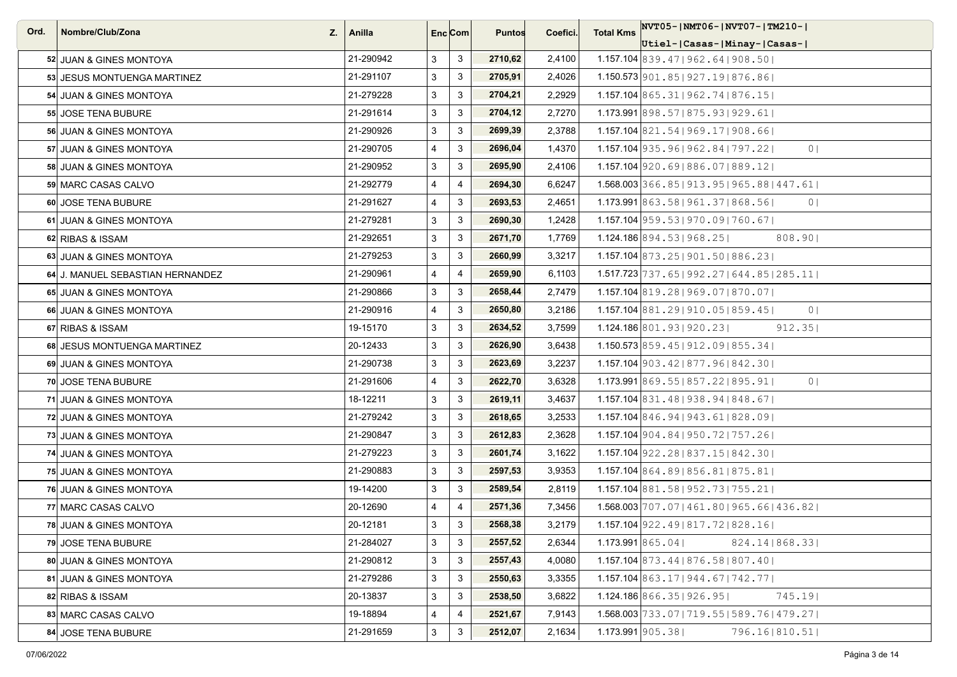| Ord. | Nombre/Club/Zona                 | $Z_{1}$   Anilla |                | Enc <sub>i</sub> Com | <b>Puntos</b> | Coefici. | <b>Total Kms</b> | $NVT05$ - $NMT06$ - $NVT07$ - $TM210$ - $I$               |
|------|----------------------------------|------------------|----------------|----------------------|---------------|----------|------------------|-----------------------------------------------------------|
|      |                                  |                  |                |                      |               |          |                  | Utiel- Casas- Minay- Casas-                               |
|      | 52 JUAN & GINES MONTOYA          | 21-290942        | 3              | 3                    | 2710,62       | 2,4100   |                  | $1.157.104$ 839.47   962.64   908.50                      |
|      | 53 JESUS MONTUENGA MARTINEZ      | 21-291107        | 3              | 3                    | 2705,91       | 2,4026   |                  | 1.150.573 901.85   927.19   876.86                        |
|      | 54 JUAN & GINES MONTOYA          | 21-279228        | 3              | $\mathbf{3}$         | 2704,21       | 2,2929   |                  | $1.157.104$ 865.31   962.74   876.15                      |
|      | 55 JOSE TENA BUBURE              | 21-291614        | 3              | 3                    | 2704,12       | 2,7270   |                  | $1.173.991$ 898.57   875.93   929.61                      |
|      | 56 JUAN & GINES MONTOYA          | 21-290926        | 3              | 3                    | 2699,39       | 2,3788   |                  | $1.157.104$ 821.54   969.17   908.66                      |
|      | 57 JUAN & GINES MONTOYA          | 21-290705        | $\overline{4}$ | 3                    | 2696,04       | 1,4370   |                  | 1.157.104 935, 96   962, 84   797, 22  <br>0 <sup>1</sup> |
|      | 58 JUAN & GINES MONTOYA          | 21-290952        | 3              | 3                    | 2695,90       | 2,4106   |                  | $1.157.104$ 920.69 886.07 889.12                          |
|      | 59 MARC CASAS CALVO              | 21-292779        | $\overline{4}$ | $\overline{4}$       | 2694,30       | 6,6247   |                  | 1.568.003 366.85   913.95   965.88   447.61               |
|      | 60 JOSE TENA BUBURE              | 21-291627        | $\overline{4}$ | $\mathbf{3}$         | 2693,53       | 2,4651   |                  | $1.173.991$ 863.58   961.37   868.56  <br>0 <sub>1</sub>  |
|      | 61 JUAN & GINES MONTOYA          | 21-279281        | 3              | 3                    | 2690,30       | 1,2428   |                  | 1.157.104 959.53   970.09   760.67                        |
|      | 62 RIBAS & ISSAM                 | 21-292651        | 3              | 3                    | 2671,70       | 1,7769   |                  | $1.124.186$ 894.531968.251<br>808.90                      |
|      | 63 JUAN & GINES MONTOYA          | 21-279253        | 3              | 3                    | 2660,99       | 3,3217   |                  | $1.157.104$ 873.25   901.50   886.23                      |
|      | 64 J. MANUEL SEBASTIAN HERNANDEZ | 21-290961        | $\overline{4}$ | $\overline{4}$       | 2659,90       | 6,1103   |                  | $1.517.723   737.65   992.27   644.85   285.11  $         |
|      | 65 JUAN & GINES MONTOYA          | 21-290866        | 3              | $\mathbf{3}$         | 2658,44       | 2,7479   |                  | 1.157.104 819.28   969.07   870.07                        |
|      | 66 JUAN & GINES MONTOYA          | 21-290916        | $\overline{4}$ | $\mathbf{3}$         | 2650,80       | 3,2186   |                  | 1.157.104 881, 29   910, 05   859, 45  <br>0 <sup>1</sup> |
|      | 67 RIBAS & ISSAM                 | 19-15170         | 3              | 3                    | 2634,52       | 3,7599   |                  | $1.124.186$ 801, 931920, 231<br>$912.35$                  |
|      | 68 JESUS MONTUENGA MARTINEZ      | 20-12433         | 3              | 3                    | 2626,90       | 3,6438   |                  | $1.150.573$ 859.45   912.09   855.34                      |
|      | 69 JUAN & GINES MONTOYA          | 21-290738        | 3              | 3                    | 2623,69       | 3,2237   |                  | 1.157.104 903.42   877.96   842.30                        |
|      | 70 JOSE TENA BUBURE              | 21-291606        | $\overline{4}$ | 3                    | 2622,70       | 3,6328   |                  | 1.173.991 869.55   857.22   895.91  <br>0 <sup>1</sup>    |
|      | 71 JUAN & GINES MONTOYA          | 18-12211         | 3              | 3                    | 2619,11       | 3,4637   |                  | $1.157.104$ 831.48   938.94   848.67                      |
|      | 72 JUAN & GINES MONTOYA          | 21-279242        | 3              | 3                    | 2618,65       | 3,2533   |                  | $1.157.104$ 846.94   943.61   828.09                      |
|      | 73 JUAN & GINES MONTOYA          | 21-290847        | 3              | 3                    | 2612,83       | 2,3628   |                  | $1.157.104$   904.84   950.72   757.26                    |
|      | 74 JUAN & GINES MONTOYA          | 21-279223        | 3              | 3                    | 2601,74       | 3,1622   |                  | $1.157.104$   922.28   837.15   842.30                    |
|      | 75 JUAN & GINES MONTOYA          | 21-290883        | 3              | $\mathbf{3}$         | 2597,53       | 3,9353   |                  | 1.157.104 864.89 856.81 875.81                            |
|      | 76 JUAN & GINES MONTOYA          | 19-14200         | 3              | $\mathbf{3}$         | 2589,54       | 2,8119   |                  | $1.157.104$ 881.58   952.73   755.21                      |
|      | 77 MARC CASAS CALVO              | 20-12690         | $\overline{4}$ | $\overline{4}$       | 2571,36       | 7,3456   |                  | 1.568.003 707.07   461.80   965.66   436.82               |
|      | 78 JUAN & GINES MONTOYA          | 20-12181         | 3              | 3                    | 2568,38       | 3,2179   |                  | $1.157.104$   922.49   817.72   828.16                    |
|      | 79 JOSE TENA BUBURE              | 21-284027        | 3              | $\mathbf{3}$         | 2557,52       | 2,6344   |                  | 1.173.991 865.04<br>824.14   868.33                       |
|      | 80 JUAN & GINES MONTOYA          | 21-290812        | 3              | 3                    | 2557,43       | 4,0080   |                  | 1.157.104 873.44   876.58   807.40                        |
|      | 81 JUAN & GINES MONTOYA          | 21-279286        | 3              | 3                    | 2550,63       | 3,3355   |                  | $1.157.104$ 863.17   944.67   742.77                      |
|      | 82 RIBAS & ISSAM                 | 20-13837         | 3              | 3                    | 2538,50       | 3,6822   |                  | 1.124.186 866.35 926.95 <br>$745.19$                      |
|      | 83 MARC CASAS CALVO              | 19-18894         | $\overline{4}$ | 4                    | 2521,67       | 7,9143   |                  | 1.568.003 733.07   719.55   589.76   479.27               |
|      | 84 JOSE TENA BUBURE              | 21-291659        | 3              | 3                    | 2512,07       | 2,1634   |                  | $1.173.991$ 905.38<br>796.16 810.51                       |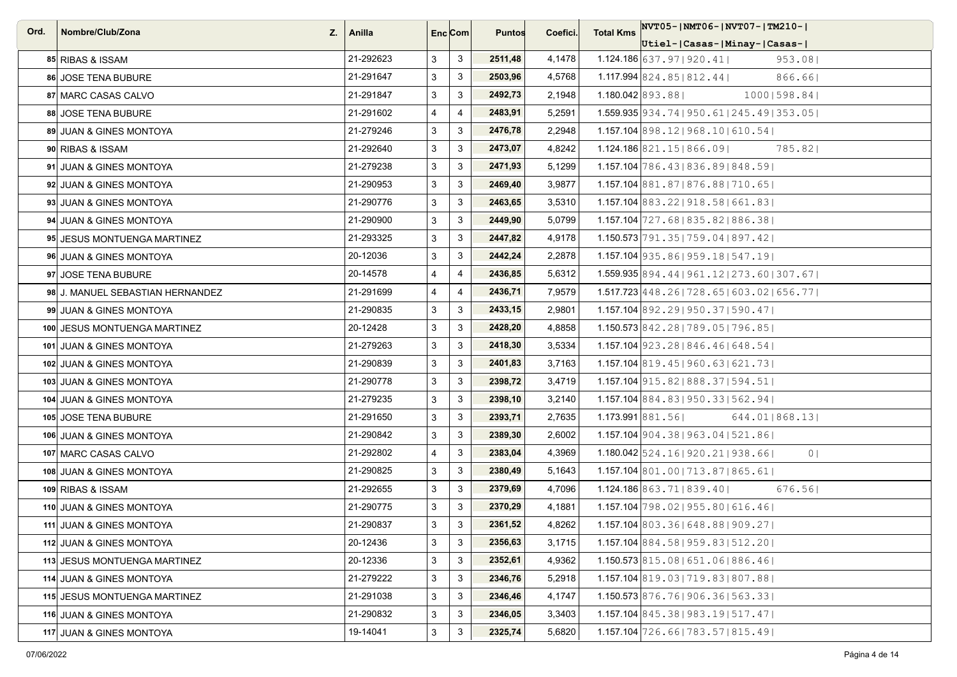| Ord. | Nombre/Club/Zona<br>Z.           | ∣ Anilla  |                | Enc <sub>i</sub> Com | <b>Puntos</b> | Coefici. | <b>Total Kms</b> | NVT05-INMT06-INVT07-ITM210-I                                     |
|------|----------------------------------|-----------|----------------|----------------------|---------------|----------|------------------|------------------------------------------------------------------|
|      |                                  |           |                |                      |               |          |                  | Utiel- Casas- Minay- Casas-                                      |
|      | 85 RIBAS & ISSAM                 | 21-292623 | 3              | 3                    | 2511,48       | 4,1478   |                  | $1.124.186$ 637.97   920.41  <br>953.08                          |
|      | 86 JOSE TENA BUBURE              | 21-291647 | 3              | $\mathbf{3}$         | 2503,96       | 4,5768   |                  | $1.117.994$ 824.85   812.44  <br>866.661                         |
|      | 87 MARC CASAS CALVO              | 21-291847 | 3              | $\mathbf{3}$         | 2492,73       | 2,1948   |                  | 1.180.042 893.881<br>10001598.841                                |
|      | 88 JOSE TENA BUBURE              | 21-291602 | $\overline{4}$ | $\overline{4}$       | 2483,91       | 5,2591   |                  | $1.559.935 \mid 934.74 \mid 950.61 \mid 245.49 \mid 353.05 \mid$ |
|      | 89 JUAN & GINES MONTOYA          | 21-279246 | 3              | $\mathbf{3}$         | 2476,78       | 2,2948   |                  | $1.157.104$ 898.12   968.10   610.54                             |
|      | 90 RIBAS & ISSAM                 | 21-292640 | 3              | 3                    | 2473,07       | 4,8242   |                  | $1.124.186$ 821.15   866.09  <br>785.821                         |
|      | 91 JUAN & GINES MONTOYA          | 21-279238 | 3              | 3                    | 2471,93       | 5,1299   |                  | 1.157.104 786.43   836.89   848.59                               |
|      | 92 JUAN & GINES MONTOYA          | 21-290953 | 3              | 3                    | 2469,40       | 3,9877   |                  | 1.157.104 881.87   876.88   710.65                               |
|      | 93 JUAN & GINES MONTOYA          | 21-290776 | 3              | $\mathbf{3}$         | 2463,65       | 3,5310   |                  | $1.157.104$ 883.22   918.58   661.83                             |
|      | 94 JUAN & GINES MONTOYA          | 21-290900 | 3              | 3                    | 2449,90       | 5,0799   |                  | 1.157.104 727.68   835.82   886.38                               |
|      | 95 JESUS MONTUENGA MARTINEZ      | 21-293325 | 3              | $\mathbf{3}$         | 2447,82       | 4,9178   |                  | 1.150.573 791.35   759.04   897.42                               |
|      | 96 JUAN & GINES MONTOYA          | 20-12036  | 3              | 3                    | 2442,24       | 2,2878   |                  | $1.157.104$   935.86   959.18   547.19                           |
|      | 97 JOSE TENA BUBURE              | 20-14578  | 4              | $\overline{4}$       | 2436,85       | 5,6312   |                  | $1.559.935$ 894.44   961.12   273.60   307.67                    |
|      | 98 J. MANUEL SEBASTIAN HERNANDEZ | 21-291699 | $\overline{4}$ | $\overline{4}$       | 2436,71       | 7,9579   |                  | $1.517.723 \mid 448.26 \mid 728.65 \mid 603.02 \mid 656.77 \mid$ |
|      | 99 JUAN & GINES MONTOYA          | 21-290835 | 3              | 3                    | 2433,15       | 2,9801   |                  | $1.157.104$ 892.291950.371590.471                                |
|      | 100 JESUS MONTUENGA MARTINEZ     | 20-12428  | 3              | 3                    | 2428,20       | 4,8858   |                  | 1.150.573 842.28 789.05 796.85                                   |
|      | 101 JUAN & GINES MONTOYA         | 21-279263 | 3              | $\mathbf{3}$         | 2418,30       | 3,5334   |                  | $1.157.104$   923.28   846.46   648.54                           |
|      | 102 JUAN & GINES MONTOYA         | 21-290839 | 3              | 3                    | 2401,83       | 3,7163   |                  | $1.157.104$ 819.45   960.63   621.73                             |
|      | 103 JUAN & GINES MONTOYA         | 21-290778 | 3              | 3                    | 2398,72       | 3,4719   |                  | $1.157.104$   915.82   888.37   594.51                           |
|      | 104 JUAN & GINES MONTOYA         | 21-279235 | 3              | 3                    | 2398,10       | 3,2140   |                  | $1.157.104$ 884.83   950.33   562.94                             |
|      | 105 JOSE TENA BUBURE             | 21-291650 | 3              | $\mathbf{3}$         | 2393,71       | 2,7635   |                  | 1.173.991 881.56<br>644.01 868.13                                |
|      | 106 JUAN & GINES MONTOYA         | 21-290842 | 3              | 3                    | 2389,30       | 2,6002   |                  | 1.157.104 904.38 963.04   521.86                                 |
|      | 107 MARC CASAS CALVO             | 21-292802 | $\overline{4}$ | 3                    | 2383,04       | 4,3969   |                  | $1.180.042$ 524.16   920.21   938.66  <br>0 <sup>1</sup>         |
|      | 108 JUAN & GINES MONTOYA         | 21-290825 | 3              | $\mathbf{3}$         | 2380,49       | 5,1643   |                  | 1.157.104 801.00   713.87   865.61                               |
|      | 109 RIBAS & ISSAM                | 21-292655 | 3              | $\mathbf{3}$         | 2379,69       | 4,7096   |                  | 676.561<br>$1.124.186$ $863.71$   $839.40$                       |
|      | 110 JUAN & GINES MONTOYA         | 21-290775 | 3              | 3                    | 2370,29       | 4,1881   |                  | 1.157.104 798.02   955.80   616.46                               |
|      | 111 JUAN & GINES MONTOYA         | 21-290837 | 3              | $\mathbf{3}$         | 2361,52       | 4,8262   |                  | $1.157.104$ 803.36   648.88   909.27                             |
|      | 112 JUAN & GINES MONTOYA         | 20-12436  | 3              | $\mathbf{3}$         | 2356,63       | 3,1715   |                  | $1.157.104$ 884.58   959.83   512.20                             |
|      | 113 JESUS MONTUENGA MARTINEZ     | 20-12336  | 3              | $\mathbf{3}$         | 2352,61       | 4,9362   |                  | 1.150.573 815.08 651.06 886.46                                   |
|      | 114 JUAN & GINES MONTOYA         | 21-279222 | 3              | $\mathbf{3}$         | 2346,76       | 5,2918   |                  | 1.157.104 819.03   719.83   807.88                               |
|      | 115 JESUS MONTUENGA MARTINEZ     | 21-291038 | 3              | 3                    | 2346,46       | 4,1747   |                  | $1.150.573$ 876.76   906.36   563.33                             |
|      | 116 JUAN & GINES MONTOYA         | 21-290832 | 3              | 3                    | 2346,05       | 3,3403   |                  | $1.157.104$ 845.38   983.19   517.47                             |
|      | 117 JUAN & GINES MONTOYA         | 19-14041  | 3              | $\mathbf{3}$         | 2325,74       | 5,6820   |                  | $1.157.104$ 726.66   783.57   815.49                             |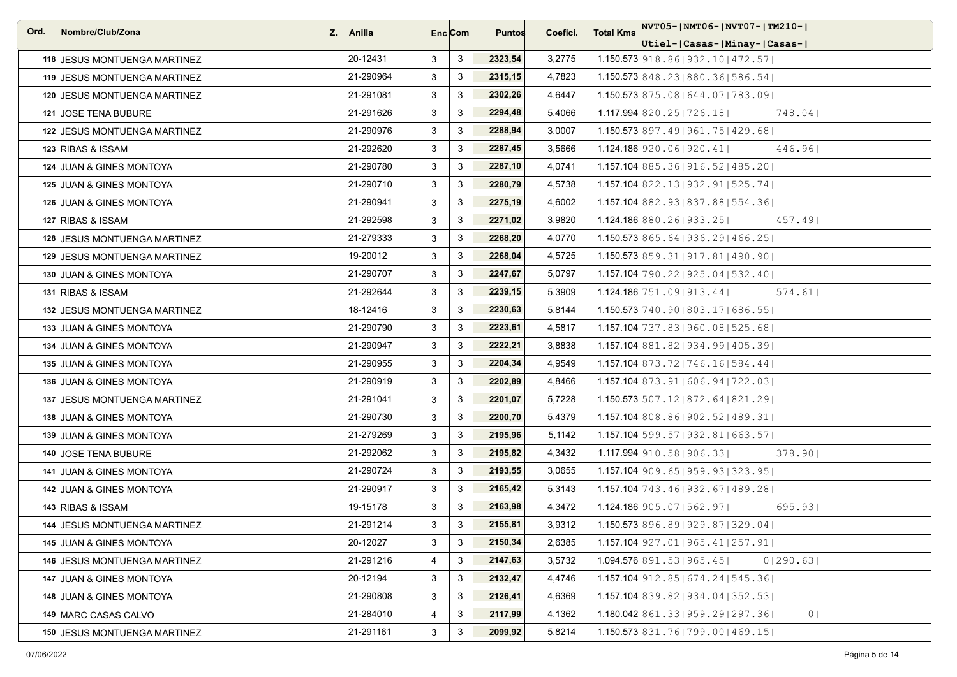| Ord. | Nombre/Club/Zona<br>Z.              | Anilla    |   | Enc <sub>i</sub> Com | <b>Puntos</b> | Coefici. | <b>Total Kms</b> | $ NVT05- NMT06- NVT07- TM210- $                        |
|------|-------------------------------------|-----------|---|----------------------|---------------|----------|------------------|--------------------------------------------------------|
|      |                                     |           |   |                      |               |          |                  | Utiel- Casas- Minay- Casas-                            |
|      | 118 JESUS MONTUENGA MARTINEZ        | 20-12431  | 3 | $\mathbf{3}$         | 2323,54       | 3,2775   |                  | 1.150.573 918.86   932.10   472.57                     |
|      | <b>119 JESUS MONTUENGA MARTINEZ</b> | 21-290964 | 3 | $\mathbf{3}$         | 2315,15       | 4,7823   |                  | 1.150.573 848.23   880.36   586.54                     |
|      | 120 JESUS MONTUENGA MARTINEZ        | 21-291081 | 3 | 3                    | 2302,26       | 4,6447   |                  | 1.150.573 875.08   644.07   783.09                     |
|      | <b>121 JOSE TENA BUBURE</b>         | 21-291626 | 3 | $\mathbf{3}$         | 2294,48       | 5,4066   |                  | $1.117.994$ 820.25   726.18  <br>748.041               |
|      | 122 JESUS MONTUENGA MARTINEZ        | 21-290976 | 3 | $\mathbf{3}$         | 2288,94       | 3,0007   |                  | 1.150.573 897.49 961.75 429.68                         |
|      | 123 RIBAS & ISSAM                   | 21-292620 | 3 | $\mathsf 3$          | 2287,45       | 3,5666   |                  | 1.124.186920.061920.411<br>446.96                      |
|      | 124 JUAN & GINES MONTOYA            | 21-290780 | 3 | 3                    | 2287,10       | 4,0741   |                  | $1.157.104$ 885.36   916.52   485.20                   |
|      | 125 JUAN & GINES MONTOYA            | 21-290710 | 3 | $\mathbf{3}$         | 2280,79       | 4,5738   |                  | $1.157.104$ 822.13   932.91   525.74                   |
|      | 126 JUAN & GINES MONTOYA            | 21-290941 | 3 | $\mathbf{3}$         | 2275,19       | 4,6002   |                  | $1.157.104$ 882.93 837.88 554.36                       |
|      | 127 RIBAS & ISSAM                   | 21-292598 | 3 | 3                    | 2271,02       | 3,9820   |                  | 1.124.186 880.26 933.25<br>457.49                      |
|      | 128 JESUS MONTUENGA MARTINEZ        | 21-279333 | 3 | $\mathbf{3}$         | 2268,20       | 4,0770   |                  | $1.150.573$ 865.64   936.29   466.25                   |
|      | 129 JESUS MONTUENGA MARTINEZ        | 19-20012  | 3 | $\mathbf{3}$         | 2268,04       | 4,5725   |                  | $1.150.573$ 859.31   917.81   490.90                   |
|      | 130 JUAN & GINES MONTOYA            | 21-290707 | 3 | 3                    | 2247,67       | 5,0797   |                  | $1.157.104$ 790.22   925.04   532.40                   |
|      | 131 RIBAS & ISSAM                   | 21-292644 | 3 | $\mathbf{3}$         | 2239,15       | 5,3909   |                  | $1.124.186$ 751.09 913.44<br>574.61                    |
|      | 132 JESUS MONTUENGA MARTINEZ        | 18-12416  | 3 | $\mathbf{3}$         | 2230,63       | 5,8144   |                  | $1.150.573 \mid 740.90 \mid 803.17 \mid 686.55 \mid$   |
|      | 133 JUAN & GINES MONTOYA            | 21-290790 | 3 | $\mathbf{3}$         | 2223,61       | 4,5817   |                  | 1.157.104 737.83   960.08   525.68                     |
|      | 134 JUAN & GINES MONTOYA            | 21-290947 | 3 | $\mathbf{3}$         | 2222,21       | 3,8838   |                  | 1.157.104 881.82   934.99   405.39                     |
|      | 135 JUAN & GINES MONTOYA            | 21-290955 | 3 | $\mathbf{3}$         | 2204,34       | 4,9549   |                  | $1.157.104$ 873.72   746.16   584.44                   |
|      | 136 JUAN & GINES MONTOYA            | 21-290919 | 3 | $\mathbf{3}$         | 2202,89       | 4,8466   |                  | $1.157.104$ 873.91 606.94 722.03                       |
|      | 137 JESUS MONTUENGA MARTINEZ        | 21-291041 | 3 | $\mathbf{3}$         | 2201,07       | 5,7228   |                  | $1.150.573 \mid 507.12 \mid 872.64 \mid 821.29 \mid$   |
|      | 138 JUAN & GINES MONTOYA            | 21-290730 | 3 | $\mathbf{3}$         | 2200,70       | 5,4379   |                  | $1.157.104$ 808.86   902.52   489.31                   |
|      | 139 JUAN & GINES MONTOYA            | 21-279269 | 3 | 3                    | 2195,96       | 5,1142   |                  | $1.157.104$ 599.57   932.81   663.57                   |
|      | 140 JOSE TENA BUBURE                | 21-292062 | 3 | $\mathbf{3}$         | 2195,82       | 4,3432   |                  | $1.117.994$   910.58   906.33  <br>378.90              |
|      | 141 JUAN & GINES MONTOYA            | 21-290724 | 3 | $\mathbf{3}$         | 2193,55       | 3,0655   |                  | $1.157.104$ 909.65   959.93   323.95                   |
|      | 142 JUAN & GINES MONTOYA            | 21-290917 | 3 | 3                    | 2165,42       | 5,3143   |                  | 1.157.104 743.46   932.67   489.28                     |
|      | 143 RIBAS & ISSAM                   | 19-15178  | 3 | 3                    | 2163,98       | 4,3472   |                  | $1.124.186$ 905.07   562.97  <br>695.93                |
|      | 144 JESUS MONTUENGA MARTINEZ        | 21-291214 | 3 | $\mathbf{3}$         | 2155,81       | 3,9312   |                  | $1.150.573$ 896.89   929.87   329.04                   |
|      | 145 JUAN & GINES MONTOYA            | 20-12027  | 3 | $\mathsf 3$          | 2150,34       | 2,6385   |                  | $1.157.104$   927.01   965.41   257.91                 |
|      | 146 JESUS MONTUENGA MARTINEZ        | 21-291216 | 4 | $\mathbf{3}$         | 2147,63       | 3,5732   |                  | $1.094.576$ 891.53   965.45  <br>01290.631             |
|      | 147 JUAN & GINES MONTOYA            | 20-12194  | 3 | $\mathbf{3}$         | 2132,47       | 4,4746   |                  | $1.157.104$ 912.85   674.24   545.36                   |
|      | 148 JUAN & GINES MONTOYA            | 21-290808 | 3 | 3                    | 2126,41       | 4,6369   |                  | $1.157.104$ 839.82   934.04   352.53                   |
|      | 149 MARC CASAS CALVO                | 21-284010 | 4 | 3                    | 2117,99       | 4,1362   |                  | 1.180.042 861.33   959.29   297.36  <br>0 <sub>1</sub> |
|      | 150 JESUS MONTUENGA MARTINEZ        | 21-291161 | 3 | $\mathbf{3}$         | 2099,92       | 5,8214   |                  | $1.150.573 \mid 831.76 \mid 799.00 \mid 469.15 \mid$   |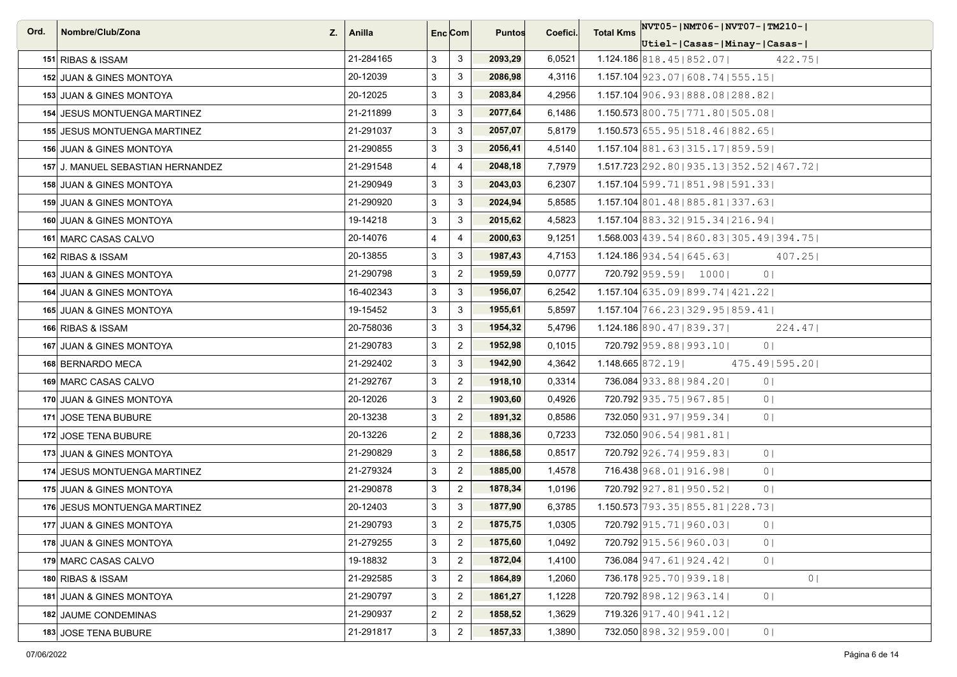| Ord. | Nombre/Club/Zona                    | $Z_{\cdot}$   Anilla |                | Enc <sub>i</sub> Com | <b>Puntos</b> | Coefici. | <b>Total Kms</b>    | NVT05- NMT06- NVT07- TM210-                       |
|------|-------------------------------------|----------------------|----------------|----------------------|---------------|----------|---------------------|---------------------------------------------------|
|      |                                     |                      |                |                      |               |          |                     | Utiel- Casas- Minay- Casas-                       |
|      | 151 RIBAS & ISSAM                   | 21-284165            | 3              | $\mathbf{3}$         | 2093,29       | 6,0521   |                     | $1.124.186$ 818.45   852.07  <br>422.75           |
|      | 152 JUAN & GINES MONTOYA            | 20-12039             | 3              | 3                    | 2086,98       | 4,3116   |                     | $1.157.104$   923.07   608.74   555.15            |
|      | 153 JUAN & GINES MONTOYA            | 20-12025             | 3              | 3                    | 2083,84       | 4,2956   |                     | 1.157.104 906.93   888.08   288.82                |
|      | 154 JESUS MONTUENGA MARTINEZ        | 21-211899            | 3              | 3                    | 2077,64       | 6,1486   |                     | $1.150.573$ 800.75   771.80   505.08              |
|      | <b>155 JESUS MONTUENGA MARTINEZ</b> | 21-291037            | 3              | 3                    | 2057,07       | 5,8179   |                     | $1.150.573$ 655.95   518.46   882.65              |
|      | 156 JUAN & GINES MONTOYA            | 21-290855            | 3              | 3                    | 2056,41       | 4,5140   |                     | 1.157.104 881.63   315.17   859.59                |
|      | 157 J. MANUEL SEBASTIAN HERNANDEZ   | 21-291548            | $\overline{4}$ | $\overline{4}$       | 2048,18       | 7,7979   |                     | $1.517.723$ 292.80   935.13   352.52   467.72     |
|      | 158 JUAN & GINES MONTOYA            | 21-290949            | 3              | 3                    | 2043,03       | 6,2307   |                     | $1.157.104$ 599.71   851.98   591.33              |
|      | 159 JUAN & GINES MONTOYA            | 21-290920            | 3              | $\mathbf{3}$         | 2024,94       | 5,8585   |                     | 1.157.104 801.48 885.81 337.63                    |
|      | 160 JUAN & GINES MONTOYA            | 19-14218             | 3              | 3                    | 2015,62       | 4,5823   |                     | 1.157.104 883.32   915.34   216.94                |
|      | 161 MARC CASAS CALVO                | 20-14076             | $\overline{4}$ | $\overline{4}$       | 2000,63       | 9,1251   |                     | $1.568.003   439.54   860.83   305.49   394.75  $ |
|      | 162 RIBAS & ISSAM                   | 20-13855             | 3              | 3                    | 1987,43       | 4,7153   |                     | $1.124.186$ 934.54   645.63  <br>407.25           |
|      | 163 JUAN & GINES MONTOYA            | 21-290798            | 3              | $\overline{2}$       | 1959,59       | 0,0777   |                     | 720.792 959.59   1000  <br>0 <sup>1</sup>         |
|      | 164 JUAN & GINES MONTOYA            | 16-402343            | 3              | $\mathbf{3}$         | 1956,07       | 6,2542   |                     | $1.157.104$ 635.09 899.74   421.22                |
|      | 165 JUAN & GINES MONTOYA            | 19-15452             | 3              | 3                    | 1955,61       | 5,8597   |                     | $1.157.104$ 766.23   329.95   859.41              |
|      | 166 RIBAS & ISSAM                   | 20-758036            | 3              | 3                    | 1954,32       | 5,4796   |                     | $1.124.186$ 890.47   839.37  <br>224.47           |
|      | 167 JUAN & GINES MONTOYA            | 21-290783            | 3              | $\overline{2}$       | 1952,98       | 0,1015   |                     | 720.792 959.88   993.10  <br>0 <sup>1</sup>       |
|      | 168 BERNARDO MECA                   | 21-292402            | 3              | 3                    | 1942,90       | 4,3642   | $1.148.665$ 872.191 | 475.49   595.20                                   |
|      | 169 MARC CASAS CALVO                | 21-292767            | 3              | $\overline{2}$       | 1918,10       | 0,3314   |                     | 736.084 933.88 984.20<br>0 <sub>1</sub>           |
|      | 170 JUAN & GINES MONTOYA            | 20-12026             | 3              | $\overline{2}$       | 1903,60       | 0,4926   |                     | 720.792 935.75   967.85  <br>0 <sup>1</sup>       |
|      | 171 JOSE TENA BUBURE                | 20-13238             | 3              | $\overline{2}$       | 1891,32       | 0,8586   |                     | 732.050 931.97   959.34  <br>0 <sub>1</sub>       |
|      | 172 JOSE TENA BUBURE                | 20-13226             | $\overline{2}$ | $\overline{2}$       | 1888,36       | 0,7233   |                     | 732.050 906.54   981.81                           |
|      | 173 JUAN & GINES MONTOYA            | 21-290829            | 3              | $\overline{2}$       | 1886,58       | 0,8517   |                     | 720.792 926.74   959.83  <br>0 <sub>1</sub>       |
|      | 174 JESUS MONTUENGA MARTINEZ        | 21-279324            | 3              | $\overline{2}$       | 1885,00       | 1,4578   |                     | 716.438 968.01   916.98  <br>0 <sub>1</sub>       |
|      | 175 JUAN & GINES MONTOYA            | 21-290878            | 3              | $\overline{2}$       | 1878,34       | 1,0196   |                     | 720.792 927.81   950.52  <br>0 <sub>1</sub>       |
|      | 176 JESUS MONTUENGA MARTINEZ        | 20-12403             | 3              | 3                    | 1877,90       | 6,3785   |                     | 1.150.573 793.35   855.81   228.73                |
|      | 177 JUAN & GINES MONTOYA            | 21-290793            | $\mathbf{3}$   | $\overline{2}$       | 1875,75       | 1,0305   |                     | 720.792 915.71   960.03  <br>0 <sup>1</sup>       |
|      | 178 JUAN & GINES MONTOYA            | 21-279255            | 3              | $\overline{2}$       | 1875,60       | 1,0492   |                     | 720.792 915.56 960.03<br>0 <sup>1</sup>           |
|      | 179 MARC CASAS CALVO                | 19-18832             | 3              | $\overline{2}$       | 1872,04       | 1,4100   |                     | 736.084 947.61 924.42<br>0 <sup>1</sup>           |
|      | 180 RIBAS & ISSAM                   | 21-292585            | 3              | $\mathbf{2}$         | 1864,89       | 1,2060   |                     | 736.178 925.70   939.18  <br>0                    |
|      | 181 JUAN & GINES MONTOYA            | 21-290797            | 3              | $\overline{2}$       | 1861,27       | 1,1228   |                     | 720.792 898.12   963.14  <br>0 <sub>1</sub>       |
|      | 182 JAUME CONDEMINAS                | 21-290937            | $\mathbf{2}$   | $\overline{2}$       | 1858,52       | 1,3629   |                     | 719.326 917.40   941.12                           |
|      | 183 JOSE TENA BUBURE                | 21-291817            | 3              | $\overline{2}$       | 1857,33       | 1,3890   |                     | 732.050 898.32   959.00  <br>0 <sub>1</sub>       |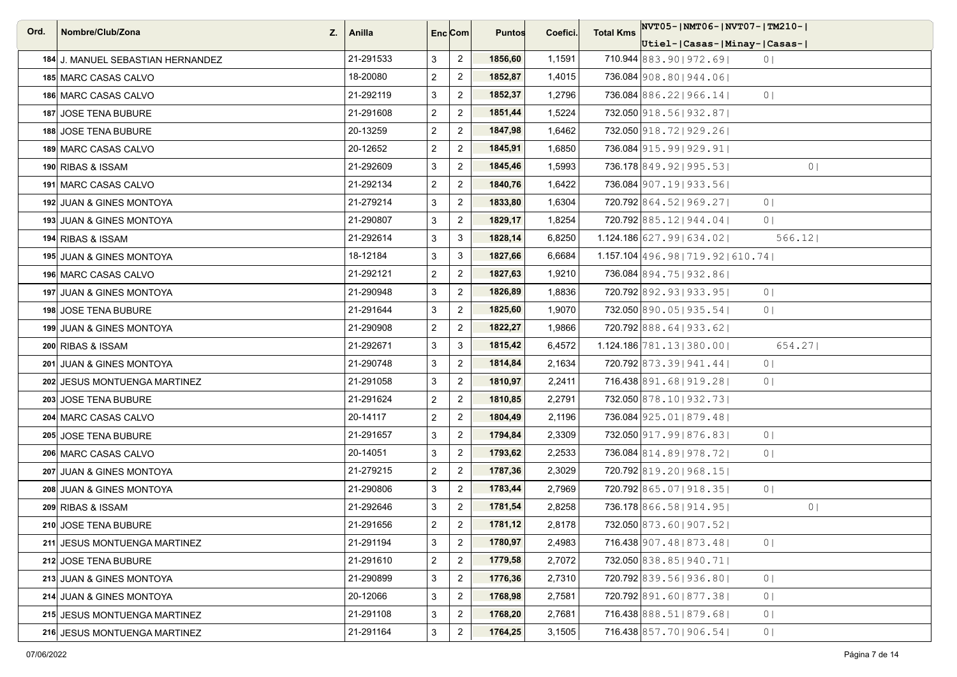| Ord. | Nombre/Club/Zona<br>Z.            | Anilla    |                | Enc Com        | <b>Puntos</b> | Coefici. | <b>Total Kms</b> | NVT05- NMT06- NVT07- TM210-                 |
|------|-----------------------------------|-----------|----------------|----------------|---------------|----------|------------------|---------------------------------------------|
|      |                                   |           |                |                |               |          |                  | Utiel- Casas- Minay- Casas-                 |
|      | 184 J. MANUEL SEBASTIAN HERNANDEZ | 21-291533 | 3              | $\overline{2}$ | 1856,60       | 1,1591   |                  | 710.944 883.90   972.69  <br>0 <sub>1</sub> |
|      | 185 MARC CASAS CALVO              | 18-20080  | $\overline{2}$ | $\overline{c}$ | 1852,87       | 1,4015   |                  | 736.084 908.80   944.06                     |
|      | 186 MARC CASAS CALVO              | 21-292119 | 3              | $\overline{2}$ | 1852,37       | 1,2796   |                  | 736.084 886.22   966.14  <br>0 <sub>1</sub> |
|      | 187 JOSE TENA BUBURE              | 21-291608 | $\overline{2}$ | $\overline{2}$ | 1851,44       | 1,5224   |                  | 732.050 918.56 932.87                       |
|      | 188 JOSE TENA BUBURE              | 20-13259  | $\overline{2}$ | $\overline{c}$ | 1847,98       | 1,6462   |                  | 732.050 918.72   929.26                     |
|      | 189 MARC CASAS CALVO              | 20-12652  | $\overline{2}$ | $\overline{2}$ | 1845,91       | 1,6850   |                  | 736.084 915.99 929.91                       |
|      | 190 RIBAS & ISSAM                 | 21-292609 | 3              | $\overline{c}$ | 1845,46       | 1,5993   |                  | 736.178 849.92   995.53  <br>0 <sup>1</sup> |
|      | 191 MARC CASAS CALVO              | 21-292134 | $\overline{2}$ | $\overline{2}$ | 1840,76       | 1,6422   |                  | 736.084 907.19 933.56                       |
|      | 192 JUAN & GINES MONTOYA          | 21-279214 | 3              | $\overline{c}$ | 1833,80       | 1,6304   |                  | 720.792 864.52   969.27  <br>0 <sub>1</sub> |
|      | 193 JUAN & GINES MONTOYA          | 21-290807 | 3              | $\overline{2}$ | 1829,17       | 1,8254   |                  | 720.792 885.12   944.04  <br>0 <sub>1</sub> |
|      | 194 RIBAS & ISSAM                 | 21-292614 | 3              | $\mathbf{3}$   | 1828,14       | 6,8250   |                  | $1.124.186$ 627.99 634.02<br>566.12         |
|      | 195 JUAN & GINES MONTOYA          | 18-12184  | 3              | 3              | 1827,66       | 6,6684   |                  | $1.157.104$ 496.98   719.92   610.74        |
|      | 196 MARC CASAS CALVO              | 21-292121 | $\overline{2}$ | $\overline{c}$ | 1827,63       | 1,9210   |                  | 736.084 894.75   932.86                     |
|      | 197 JUAN & GINES MONTOYA          | 21-290948 | 3              | $\overline{2}$ | 1826,89       | 1,8836   |                  | 720.792 892.93 933.95<br>0 <sub>1</sub>     |
|      | 198 JOSE TENA BUBURE              | 21-291644 | 3              | $\overline{2}$ | 1825,60       | 1,9070   |                  | 732.050 890.05   935.54  <br>0 <sub>1</sub> |
|      | 199 JUAN & GINES MONTOYA          | 21-290908 | $\overline{2}$ | $\overline{2}$ | 1822,27       | 1,9866   |                  | 720.792 888.64   933.62                     |
|      | 200 RIBAS & ISSAM                 | 21-292671 | 3              | 3              | 1815,42       | 6,4572   |                  | $1.124.186$ 781.13 380.00<br>654.27         |
|      | 201 JUAN & GINES MONTOYA          | 21-290748 | 3              | $\overline{2}$ | 1814,84       | 2,1634   |                  | 720.792 873.39 941.44<br>0 <sup>1</sup>     |
|      | 202 JESUS MONTUENGA MARTINEZ      | 21-291058 | 3              | $\overline{2}$ | 1810,97       | 2,2411   |                  | 716.438 891.68   919.28  <br>0 <sub>1</sub> |
|      | 203 JOSE TENA BUBURE              | 21-291624 | $\overline{2}$ | $\overline{2}$ | 1810,85       | 2,2791   |                  | 732.050 878.10   932.73                     |
|      | 204 MARC CASAS CALVO              | 20-14117  | $\overline{2}$ | $\overline{2}$ | 1804,49       | 2,1196   |                  | 736.084 925.01   879.48                     |
|      | 205 JOSE TENA BUBURE              | 21-291657 | 3              | $\overline{2}$ | 1794,84       | 2,3309   |                  | 732.050 917, 99 876, 83<br>0 <sub>1</sub>   |
|      | 206 MARC CASAS CALVO              | 20-14051  | 3              | $\overline{2}$ | 1793,62       | 2,2533   |                  | 736.084 814.89 978.72<br>0 <sub>1</sub>     |
|      | 207 JUAN & GINES MONTOYA          | 21-279215 | $\overline{2}$ | $\overline{2}$ | 1787,36       | 2,3029   |                  | 720.792 819.20   968.15                     |
|      | 208 JUAN & GINES MONTOYA          | 21-290806 | 3              | $\overline{2}$ | 1783,44       | 2,7969   |                  | 720.792 865.07   918.35  <br>0 <sub>1</sub> |
|      | 209 RIBAS & ISSAM                 | 21-292646 | 3              | $\overline{2}$ | 1781,54       | 2,8258   |                  | 736.178 866.58 914.95<br>0 <sup>1</sup>     |
|      | 210 JOSE TENA BUBURE              | 21-291656 | $\overline{2}$ | $\overline{2}$ | 1781,12       | 2,8178   |                  | 732.050 873.60   907.52                     |
|      | 211 JESUS MONTUENGA MARTINEZ      | 21-291194 | 3              | $\overline{2}$ | 1780,97       | 2,4983   |                  | 716.438 907.48   873.48  <br>0 <sub>1</sub> |
|      | 212 JOSE TENA BUBURE              | 21-291610 | $\overline{2}$ | $\overline{2}$ | 1779,58       | 2,7072   |                  | 732.050 838.85   940.71                     |
|      | 213 JUAN & GINES MONTOYA          | 21-290899 | 3              | $\overline{c}$ | 1776,36       | 2,7310   |                  | 0 <sub>1</sub><br>720.792 839.56 936.80     |
|      | 214 JUAN & GINES MONTOYA          | 20-12066  | 3              | $\overline{2}$ | 1768,98       | 2,7581   |                  | 720.792 891.60   877.38  <br>0 <sub>1</sub> |
|      | 215 JESUS MONTUENGA MARTINEZ      | 21-291108 | 3              | $\overline{2}$ | 1768,20       | 2,7681   |                  | 716.438 888.51   879.68  <br>0 <sub>1</sub> |
|      | 216 JESUS MONTUENGA MARTINEZ      | 21-291164 | 3              | $\overline{2}$ | 1764,25       | 3,1505   |                  | 716.438 857.70   906.54  <br>0 <sub>1</sub> |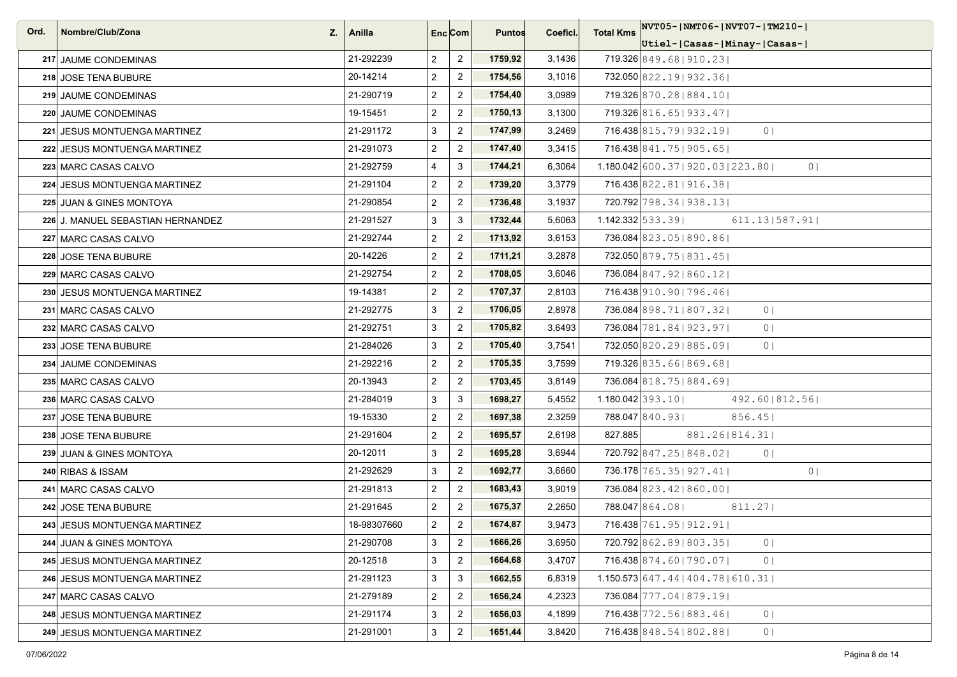| Ord. | Nombre/Club/Zona<br>Z.            | Anilla      |                | Enc Com                   | <b>Puntos</b> | Coefici. | <b>Total Kms</b>             | NVT05-INMT06-INVT07-ITM210-I                             |
|------|-----------------------------------|-------------|----------------|---------------------------|---------------|----------|------------------------------|----------------------------------------------------------|
|      |                                   |             |                |                           |               |          |                              | Utiel- Casas- Minay- Casas-                              |
|      | 217 JAUME CONDEMINAS              | 21-292239   | $\overline{2}$ | $\overline{2}$            | 1759,92       | 3,1436   |                              | 719.326 849.68 910.23                                    |
|      | 218 JOSE TENA BUBURE              | 20-14214    | $\overline{2}$ | $\overline{2}$            | 1754,56       | 3,1016   |                              | 732.050 822.19 932.36                                    |
|      | 219 JAUME CONDEMINAS              | 21-290719   | $\overline{2}$ | $\sqrt{2}$                | 1754,40       | 3,0989   |                              | 719.326 870.28 884.10                                    |
|      | 220 JAUME CONDEMINAS              | 19-15451    | $\overline{2}$ | $\overline{2}$            | 1750,13       | 3,1300   |                              | 719.326 816.65   933.47                                  |
|      | 221 JESUS MONTUENGA MARTINEZ      | 21-291172   | 3              | $\overline{2}$            | 1747,99       | 3,2469   |                              | 716.438 815.79 932.19<br>0 <sup>1</sup>                  |
|      | 222 JESUS MONTUENGA MARTINEZ      | 21-291073   | $\overline{2}$ | $\overline{2}$            | 1747,40       | 3,3415   |                              | 716.438 841.75   905.65                                  |
|      | 223 MARC CASAS CALVO              | 21-292759   | $\overline{4}$ | 3                         | 1744,21       | 6,3064   |                              | $1.180.042$ 600.37   920.03   223.80  <br>0 <sup>1</sup> |
|      | 224 JESUS MONTUENGA MARTINEZ      | 21-291104   | $\overline{2}$ | $\overline{2}$            | 1739,20       | 3,3779   |                              | 716.438 822.81   916.38                                  |
|      | 225 JUAN & GINES MONTOYA          | 21-290854   | $\overline{2}$ | $\overline{2}$            | 1736,48       | 3,1937   |                              | 720.792 798.34   938.13                                  |
|      | 226 J. MANUEL SEBASTIAN HERNANDEZ | 21-291527   | 3              | 3                         | 1732,44       | 5,6063   | $1.142.332 \mid 533.39 \mid$ | 611.13 587.91                                            |
|      | 227 MARC CASAS CALVO              | 21-292744   | $\overline{2}$ | $\sqrt{2}$                | 1713,92       | 3,6153   |                              | 736.084 823.05   890.86                                  |
|      | 228 JOSE TENA BUBURE              | 20-14226    | $\overline{2}$ | $\overline{2}$            | 1711,21       | 3,2878   |                              | 732.050 879.75   831.45                                  |
|      | 229 MARC CASAS CALVO              | 21-292754   | $\overline{2}$ | $\overline{2}$            | 1708,05       | 3,6046   |                              | 736.084 847.92   860.12                                  |
|      | 230 JESUS MONTUENGA MARTINEZ      | 19-14381    | $\overline{2}$ | $\overline{2}$            | 1707,37       | 2,8103   |                              | 716.438 910.90   796.46                                  |
|      | 231 MARC CASAS CALVO              | 21-292775   | 3              | $\overline{2}$            | 1706,05       | 2,8978   |                              | 736.084 898.71   807.32  <br>0 <sup>1</sup>              |
|      | 232  MARC CASAS CALVO             | 21-292751   | 3              | $\overline{2}$            | 1705,82       | 3,6493   |                              | 736.084 781.84   923.97  <br>0 <sub>1</sub>              |
|      | 233 JOSE TENA BUBURE              | 21-284026   | $\mathbf{3}$   | $\overline{2}$            | 1705,40       | 3,7541   |                              | 732.050 820.29 885.09<br>0 <sub>1</sub>                  |
|      | 234 JAUME CONDEMINAS              | 21-292216   | $\overline{2}$ | $\overline{2}$            | 1705,35       | 3,7599   |                              | 719.326 835.66 869.68                                    |
|      | 235 MARC CASAS CALVO              | 20-13943    | $\overline{2}$ | $\overline{c}$            | 1703,45       | 3,8149   |                              | 736.084 818.75   884.69                                  |
|      | 236 MARC CASAS CALVO              | 21-284019   | 3              | 3                         | 1698,27       | 5,4552   |                              | $1.180.042$ 393.10<br>492.60   812.56                    |
|      | 237 JOSE TENA BUBURE              | 19-15330    | $\overline{2}$ | $\overline{c}$            | 1697,38       | 2,3259   |                              | 788.047 840.931<br>856.45                                |
|      | 238 JOSE TENA BUBURE              | 21-291604   | $\overline{2}$ | $\overline{2}$            | 1695,57       | 2,6198   | 827.885                      | 881.26 814.31                                            |
|      | 239 JUAN & GINES MONTOYA          | 20-12011    | 3              | $\overline{2}$            | 1695,28       | 3,6944   |                              | 720.792 847.25   848.02  <br>0 <sub>1</sub>              |
|      | 240 RIBAS & ISSAM                 | 21-292629   | 3              | $\overline{2}$            | 1692,77       | 3,6660   |                              | 736.178 765.35   927.41  <br>0 <sup>1</sup>              |
|      | 241 MARC CASAS CALVO              | 21-291813   | $\overline{2}$ | $\overline{2}$            | 1683,43       | 3,9019   |                              | 736.084 823.42   860.00                                  |
|      | 242 JOSE TENA BUBURE              | 21-291645   | $\overline{2}$ | $\overline{2}$            | 1675,37       | 2,2650   |                              | 788.047 864.08<br>811.27                                 |
|      | 243 JESUS MONTUENGA MARTINEZ      | 18-98307660 | $\overline{2}$ | $\overline{2}$            | 1674,87       | 3,9473   |                              | 716.438 761.95   912.91                                  |
|      | 244 JUAN & GINES MONTOYA          | 21-290708   | 3              | $\overline{2}$            | 1666,26       | 3,6950   |                              | 720.792 862.89 803.35<br>0 <sub>1</sub>                  |
|      | 245 JESUS MONTUENGA MARTINEZ      | 20-12518    | 3              | $\overline{c}$            | 1664,68       | 3,4707   |                              | 716.438 874.60   790.07  <br>0 <sub>1</sub>              |
|      | 246 JESUS MONTUENGA MARTINEZ      | 21-291123   | $\mathsf 3$    | $\ensuremath{\mathsf{3}}$ | 1662,55       | 6,8319   |                              | $1.150.573$ 647.44   404.78   610.31                     |
|      | 247 MARC CASAS CALVO              | 21-279189   | $\overline{2}$ | $\overline{2}$            | 1656,24       | 4,2323   |                              | 736.084 777.04   879.19                                  |
|      | 248 JESUS MONTUENGA MARTINEZ      | 21-291174   | 3              | $\overline{\mathbf{c}}$   | 1656,03       | 4,1899   |                              | 716.438 772.56 883.46<br>0 <sub>1</sub>                  |
|      | 249 JESUS MONTUENGA MARTINEZ      | 21-291001   | 3              | $\overline{2}$            | 1651,44       | 3,8420   |                              | 716.438 848.54   802.88  <br>0 <sub>1</sub>              |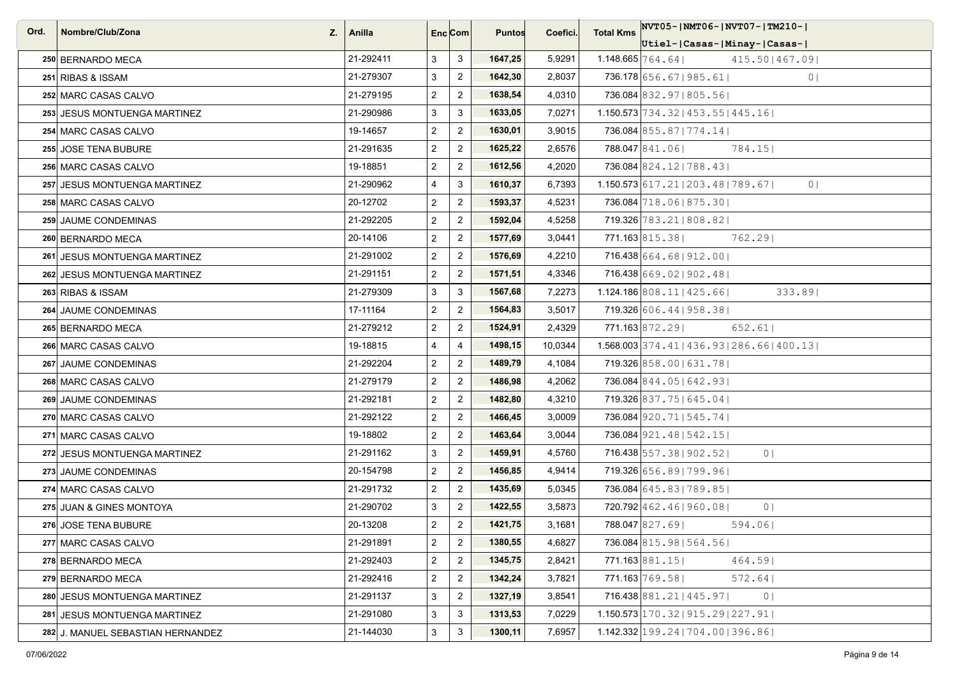| Ord. | Nombre/Club/Zona<br>Z.            | Anilla    |                | Enc <sub>i</sub> Com | <b>Puntos</b> | Coefici. | <b>Total Kms</b> | $ NVT05- NMT06- NVT07- TM210- $                          |
|------|-----------------------------------|-----------|----------------|----------------------|---------------|----------|------------------|----------------------------------------------------------|
|      |                                   |           |                |                      |               |          |                  | Utiel- Casas- Minay- Casas-                              |
|      | 250 BERNARDO MECA                 | 21-292411 | 3              | 3                    | 1647,25       | 5,9291   |                  | $1.148.665$ $764.64$  <br>415.501467.091                 |
|      | 251 RIBAS & ISSAM                 | 21-279307 | 3              | $\overline{2}$       | 1642,30       | 2,8037   |                  | 736.178 656.67   985.61  <br>0 <sub>1</sub>              |
|      | 252 MARC CASAS CALVO              | 21-279195 | $\overline{2}$ | $\mathbf{2}$         | 1638,54       | 4,0310   |                  | 736.084 832.97   805.56                                  |
|      | 253 JESUS MONTUENGA MARTINEZ      | 21-290986 | 3              | 3                    | 1633,05       | 7,0271   |                  | $1.150.573 \mid 734.32 \mid 453.55 \mid 445.16 \mid$     |
|      | 254 MARC CASAS CALVO              | 19-14657  | $\overline{2}$ | $\overline{2}$       | 1630,01       | 3,9015   |                  | 736.084 855.87   774.14                                  |
|      | 255 JOSE TENA BUBURE              | 21-291635 | $\overline{2}$ | $\overline{2}$       | 1625,22       | 2,6576   |                  | 788.047 841.06<br>784.15                                 |
|      | 256 MARC CASAS CALVO              | 19-18851  | $\overline{2}$ | $\overline{2}$       | 1612,56       | 4,2020   |                  | 736.084 824.12   788.43                                  |
|      | 257 JESUS MONTUENGA MARTINEZ      | 21-290962 | $\overline{4}$ | $\mathbf{3}$         | 1610,37       | 6,7393   |                  | $1.150.573$ 617.21   203.48   789.67  <br>0 <sub>1</sub> |
|      | 258 MARC CASAS CALVO              | 20-12702  | $\overline{2}$ | $\overline{2}$       | 1593,37       | 4,5231   |                  | 736.084 718.06   875.30                                  |
|      | 259 JAUME CONDEMINAS              | 21-292205 | $\overline{2}$ | $\overline{2}$       | 1592,04       | 4,5258   |                  | 719.326 783.21   808.82                                  |
|      | 260 BERNARDO MECA                 | 20-14106  | $\overline{2}$ | $\mathbf{2}$         | 1577,69       | 3,0441   |                  | 771.163 815.38<br>762.291                                |
|      | 261 JESUS MONTUENGA MARTINEZ      | 21-291002 | $\overline{2}$ | $\overline{2}$       | 1576,69       | 4,2210   |                  | 716.438 664.68 912.00                                    |
|      | 262 JESUS MONTUENGA MARTINEZ      | 21-291151 | $\overline{2}$ | $\overline{2}$       | 1571,51       | 4,3346   |                  | 716.438 669.02   902.48                                  |
|      | 263 RIBAS & ISSAM                 | 21-279309 | 3              | $\mathbf{3}$         | 1567,68       | 7,2273   |                  | $1.124.186$ 808.11   425.66  <br>333.89                  |
|      | 264 JAUME CONDEMINAS              | 17-11164  | $\overline{2}$ | $\overline{2}$       | 1564,83       | 3,5017   |                  | 719.326 606.44   958.38                                  |
|      | 265 BERNARDO MECA                 | 21-279212 | $\overline{2}$ | $\overline{2}$       | 1524,91       | 2,4329   |                  | 771.163 872.29<br>652.61                                 |
|      | 266 MARC CASAS CALVO              | 19-18815  | $\overline{4}$ | $\overline{4}$       | 1498,15       | 10,0344  |                  | $1.568.003$ 374.41   436.93   286.66   400.13            |
|      | 267 JAUME CONDEMINAS              | 21-292204 | $\overline{2}$ | $\overline{2}$       | 1489,79       | 4,1084   |                  | 719.326 858.00   631.78                                  |
|      | 268 MARC CASAS CALVO              | 21-279179 | $\overline{2}$ | $\overline{2}$       | 1486,98       | 4,2062   |                  | 736.084 844.05 642.93                                    |
|      | 269 JAUME CONDEMINAS              | 21-292181 | $\overline{2}$ | $\overline{2}$       | 1482,80       | 4,3210   |                  | 719.326 837.75   645.04                                  |
|      | 270 MARC CASAS CALVO              | 21-292122 | $\overline{2}$ | $\overline{2}$       | 1466,45       | 3,0009   |                  | 736.084 920.71   545.74                                  |
|      | 271 MARC CASAS CALVO              | 19-18802  | $\overline{2}$ | $\overline{2}$       | 1463,64       | 3,0044   |                  | 736.084 921.48   542.15                                  |
|      | 272 JESUS MONTUENGA MARTINEZ      | 21-291162 | 3              | $\overline{2}$       | 1459,91       | 4,5760   |                  | 716.438 557.38   902.52  <br>0 <sup>1</sup>              |
|      | 273 JAUME CONDEMINAS              | 20-154798 | $\overline{2}$ | $\overline{2}$       | 1456,85       | 4,9414   |                  | 719.326 656.89   799.96                                  |
|      | 274 MARC CASAS CALVO              | 21-291732 | $\overline{2}$ | $\overline{2}$       | 1435,69       | 5,0345   |                  | 736.084 645.83   789.85                                  |
|      | 275 JUAN & GINES MONTOYA          | 21-290702 | 3              | $\overline{2}$       | 1422,55       | 3,5873   |                  | 720.792 462.46   960.08  <br>0 <sub>1</sub>              |
|      | 276 JOSE TENA BUBURE              | 20-13208  | $\overline{2}$ | $\overline{2}$       | 1421,75       | 3,1681   |                  | 788.047 827.69<br>594.061                                |
|      | 277 MARC CASAS CALVO              | 21-291891 | $\overline{2}$ | $\overline{2}$       | 1380,55       | 4,6827   |                  | 736.084 815.98   564.56                                  |
|      | 278 BERNARDO MECA                 | 21-292403 | $\overline{2}$ | $\overline{2}$       | 1345,75       | 2,8421   |                  | 771.163 881.15<br>464.591                                |
|      | 279 BERNARDO MECA                 | 21-292416 | $\overline{2}$ | $\overline{2}$       | 1342,24       | 3,7821   |                  | 771.163 769.58<br>572.64                                 |
|      | 280 JESUS MONTUENGA MARTINEZ      | 21-291137 | 3              | $\overline{2}$       | 1327,19       | 3,8541   |                  | 716.438 881.21   445.97  <br>0 <sup>1</sup>              |
|      | 281 JESUS MONTUENGA MARTINEZ      | 21-291080 | 3              | 3                    | 1313,53       | 7,0229   |                  | $1.150.573 \mid 170.32 \mid 915.29 \mid 227.91 \mid$     |
|      | 282 J. MANUEL SEBASTIAN HERNANDEZ | 21-144030 | 3              | $\mathbf{3}$         | 1300,11       | 7,6957   |                  | $1.142.332 \mid 199.24 \mid 704.00 \mid 396.86 \mid$     |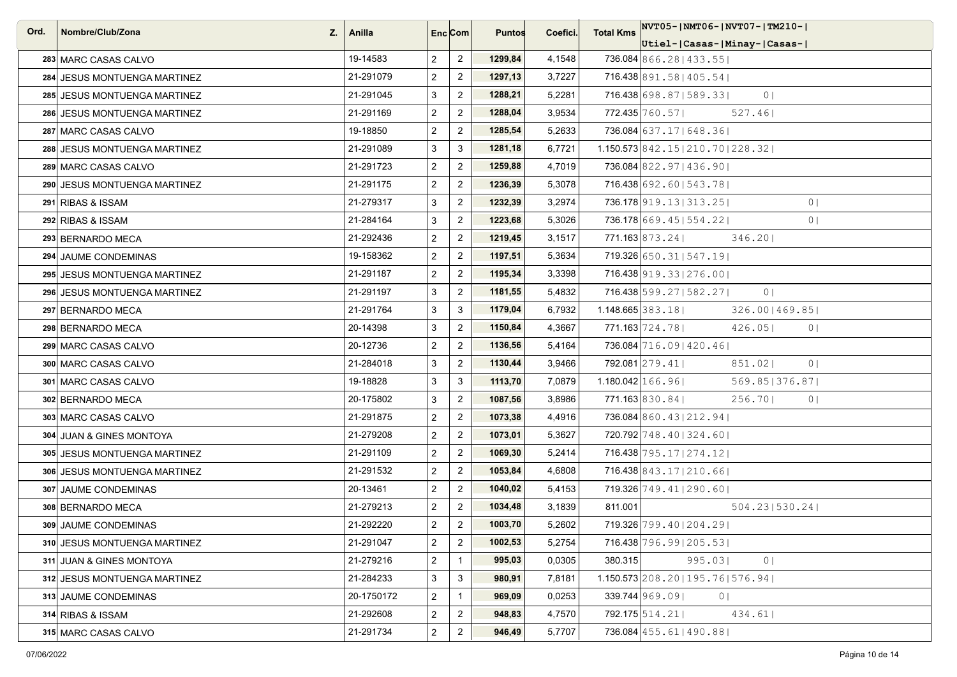| Ord. | Nombre/Club/Zona<br>Z.       | Anilla     | Enc Com        |                         | <b>Puntos</b> | Coefici. | <b>Total Kms</b> | NVT05-INMT06-INVT07-ITM210-I                |
|------|------------------------------|------------|----------------|-------------------------|---------------|----------|------------------|---------------------------------------------|
|      |                              |            |                |                         |               |          |                  | Utiel- Casas- Minay- Casas-                 |
|      | 283 MARC CASAS CALVO         | 19-14583   | $\overline{2}$ | $\overline{2}$          | 1299,84       | 4,1548   |                  | 736.084 866.28   433.55                     |
|      | 284 JESUS MONTUENGA MARTINEZ | 21-291079  | $\overline{2}$ | $\overline{2}$          | 1297,13       | 3,7227   |                  | 716.438 891.58   405.54                     |
|      | 285 JESUS MONTUENGA MARTINEZ | 21-291045  | 3              | $\overline{2}$          | 1288,21       | 5,2281   |                  | 716.438 698.87   589.33  <br>0 <sup>1</sup> |
|      | 286 JESUS MONTUENGA MARTINEZ | 21-291169  | $\overline{2}$ | $\overline{2}$          | 1288,04       | 3,9534   |                  | 772.435 760.57<br>527.46                    |
|      | 287 MARC CASAS CALVO         | 19-18850   | $\overline{2}$ | $\overline{2}$          | 1285,54       | 5,2633   |                  | 736.084 637.17   648.36                     |
|      | 288 JESUS MONTUENGA MARTINEZ | 21-291089  | 3              | 3                       | 1281,18       | 6,7721   |                  | 1.150.573 842.15   210.70   228.32          |
|      | 289 MARC CASAS CALVO         | 21-291723  | $\overline{2}$ | $\overline{2}$          | 1259,88       | 4,7019   |                  | 736.084 822.97   436.90                     |
|      | 290 JESUS MONTUENGA MARTINEZ | 21-291175  | $\overline{2}$ | $\overline{2}$          | 1236,39       | 5,3078   |                  | 716.438 692.60   543.78                     |
|      | 291 RIBAS & ISSAM            | 21-279317  | $\mathbf{3}$   | $\overline{2}$          | 1232,39       | 3,2974   |                  | 736.178 919.13   313.25  <br>0 <sub>1</sub> |
|      | 292 RIBAS & ISSAM            | 21-284164  | 3              | $\overline{2}$          | 1223,68       | 5,3026   |                  | 736.178 669.45   554.22  <br>0 <sup>1</sup> |
|      | 293 BERNARDO MECA            | 21-292436  | $\overline{2}$ | $\overline{2}$          | 1219,45       | 3,1517   |                  | $771.163$ 873.24<br>346.20                  |
|      | 294 JAUME CONDEMINAS         | 19-158362  | $\overline{2}$ | $\overline{2}$          | 1197,51       | 5,3634   |                  | 719.326 650.31   547.19                     |
|      | 295 JESUS MONTUENGA MARTINEZ | 21-291187  | $\overline{2}$ | $\overline{2}$          | 1195,34       | 3,3398   |                  | 716.438 919.33   276.00                     |
|      | 296 JESUS MONTUENGA MARTINEZ | 21-291197  | $\mathbf{3}$   | $\overline{2}$          | 1181,55       | 5,4832   |                  | 716.438 599.27   582.27  <br>0 <sup>1</sup> |
|      | 297 BERNARDO MECA            | 21-291764  | 3              | 3                       | 1179,04       | 6,7932   |                  | $1.148.665$ 383.18<br>326.001469.851        |
|      | 298 BERNARDO MECA            | 20-14398   | 3              | $\overline{2}$          | 1150,84       | 4,3667   |                  | 771.163 724.78<br>426.05<br>0 <sup>1</sup>  |
|      | 299 MARC CASAS CALVO         | 20-12736   | $\overline{2}$ | $\overline{2}$          | 1136,56       | 5,4164   |                  | 736.084 716.09   420.46                     |
|      | 300 MARC CASAS CALVO         | 21-284018  | 3              | $\overline{2}$          | 1130,44       | 3,9466   |                  | 792.081 279.41<br>0 <sub>1</sub><br>851.02  |
|      | 301 MARC CASAS CALVO         | 19-18828   | 3              | 3                       | 1113,70       | 7,0879   |                  | $1.180.042$ $166.96$<br>569.85   376.87     |
|      | 302 BERNARDO MECA            | 20-175802  | 3              | $\overline{2}$          | 1087,56       | 3,8986   |                  | 771.163 830.84<br>256.70<br>0 <sup>1</sup>  |
|      | 303 MARC CASAS CALVO         | 21-291875  | $\overline{2}$ | $\overline{2}$          | 1073,38       | 4,4916   |                  | 736.084 860.43   212.94                     |
|      | 304 JUAN & GINES MONTOYA     | 21-279208  | $\overline{2}$ | $\overline{2}$          | 1073,01       | 5,3627   |                  | 720.792 748.40   324.60                     |
|      | 305 JESUS MONTUENGA MARTINEZ | 21-291109  | $\overline{2}$ | $\overline{2}$          | 1069,30       | 5,2414   |                  | 716.438 795.17   274.12                     |
|      | 306 JESUS MONTUENGA MARTINEZ | 21-291532  | $\overline{2}$ | $\overline{2}$          | 1053,84       | 4,6808   |                  | 716.438 843.17   210.66                     |
|      | 307 JAUME CONDEMINAS         | 20-13461   | $\overline{2}$ | $\overline{2}$          | 1040,02       | 5,4153   |                  | 719.326 749.41   290.60                     |
|      | 308 BERNARDO MECA            | 21-279213  | $\overline{2}$ | $\overline{2}$          | 1034,48       | 3,1839   | 811.001          | 504.23 530.24                               |
|      | 309 JAUME CONDEMINAS         | 21-292220  | $\overline{2}$ | $\overline{2}$          | 1003,70       | 5,2602   |                  | 719.326 799.40   204.29                     |
|      | 310 JESUS MONTUENGA MARTINEZ | 21-291047  | $\overline{2}$ | $\sqrt{2}$              | 1002,53       | 5,2754   |                  | 716.438 796.99   205.53                     |
|      | 311 JUAN & GINES MONTOYA     | 21-279216  | $\overline{a}$ | $\mathbf{1}$            | 995,03        | 0,0305   | 380.315          | 995.03<br>0 <sub>1</sub>                    |
|      | 312 JESUS MONTUENGA MARTINEZ | 21-284233  | 3              | 3                       | 980,91        | 7,8181   |                  | $1.150.573$   208.20   195.76   576.94      |
|      | 313 JAUME CONDEMINAS         | 20-1750172 | $\overline{2}$ | $\mathbf{1}$            | 969,09        | 0,0253   |                  | 339.744 969.09<br>0 <sup>1</sup>            |
|      | 314 RIBAS & ISSAM            | 21-292608  | $\overline{2}$ | $\overline{\mathbf{c}}$ | 948,83        | 4,7570   |                  | $792.175$ 514.21<br>434.61                  |
|      | 315 MARC CASAS CALVO         | 21-291734  | $\overline{2}$ | $\overline{2}$          | 946,49        | 5,7707   |                  | 736.084 455.61   490.88                     |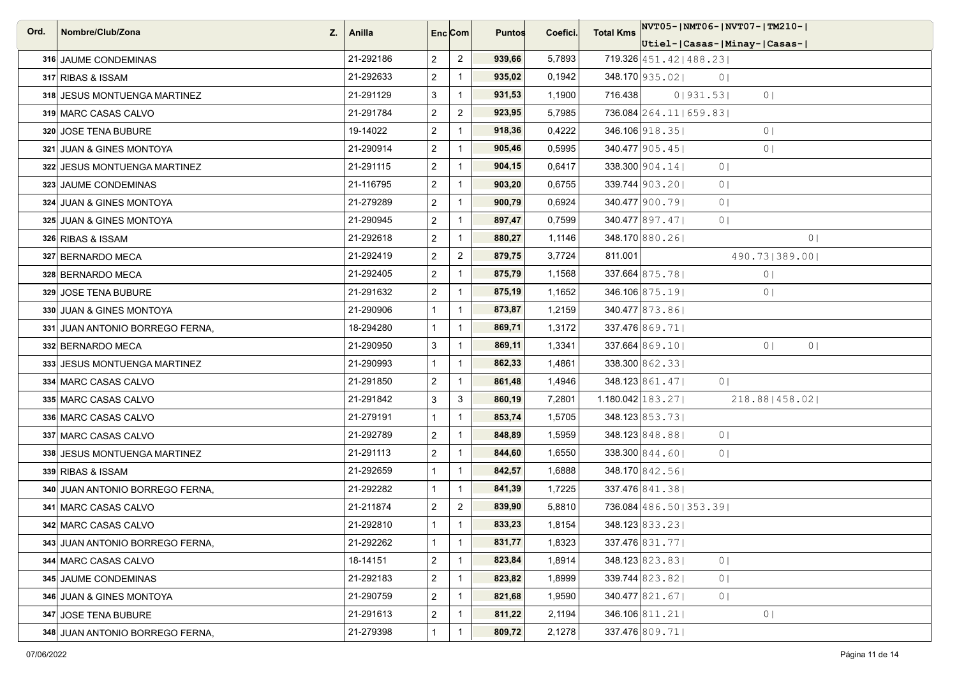| Ord. | Nombre/Club/Zona<br>Z.          | Anilla    | Enc <sub>i</sub> Com |                | <b>Puntos</b> | Coefici. | <b>Total Kms</b>             | NVT05- NMT06- NVT07- TM210-                          |
|------|---------------------------------|-----------|----------------------|----------------|---------------|----------|------------------------------|------------------------------------------------------|
|      |                                 |           |                      |                |               |          |                              | Utiel- Casas- Minay- Casas-                          |
|      | 316 JAUME CONDEMINAS            | 21-292186 | $\overline{2}$       | $\overline{2}$ | 939,66        | 5,7893   |                              | $719.326 \mid 451.42 \mid 488.23 \mid$               |
|      | 317 RIBAS & ISSAM               | 21-292633 | $\overline{2}$       | $\mathbf{1}$   | 935,02        | 0,1942   |                              | 348.170 935.02<br>0 <sub>1</sub>                     |
|      | 318 JESUS MONTUENGA MARTINEZ    | 21-291129 | 3                    | $\mathbf{1}$   | 931,53        | 1,1900   | 716.438                      | 0 931.53 <br>0 <sub>1</sub>                          |
|      | 319 MARC CASAS CALVO            | 21-291784 | $\overline{2}$       | $\overline{2}$ | 923,95        | 5,7985   |                              | 736.084 264.11   659.83                              |
|      | 320 JOSE TENA BUBURE            | 19-14022  | $\overline{2}$       | $\mathbf{1}$   | 918,36        | 0,4222   |                              | $346.106$ 918.35<br>0 <sup>1</sup>                   |
|      | 321 JUAN & GINES MONTOYA        | 21-290914 | $\overline{2}$       | $\mathbf{1}$   | 905,46        | 0,5995   |                              | $340.477$  905.45 <br>0 <sub>1</sub>                 |
|      | 322 JESUS MONTUENGA MARTINEZ    | 21-291115 | $\overline{2}$       | $\mathbf{1}$   | 904,15        | 0,6417   |                              | 338.300 904.14<br>0 <sub>1</sub>                     |
|      | 323 JAUME CONDEMINAS            | 21-116795 | $\overline{2}$       | $\mathbf{1}$   | 903,20        | 0,6755   |                              | 339.744 903.201<br>0 <sub>1</sub>                    |
|      | 324 JUAN & GINES MONTOYA        | 21-279289 | $\overline{2}$       | $\mathbf{1}$   | 900,79        | 0,6924   |                              | 340.477 900.79<br>0 <sub>1</sub>                     |
|      | 325 JUAN & GINES MONTOYA        | 21-290945 | $\overline{2}$       | $\mathbf{1}$   | 897,47        | 0,7599   |                              | 340.477 897.47<br>0 <sup>1</sup>                     |
|      | 326 RIBAS & ISSAM               | 21-292618 | $\overline{2}$       | $\mathbf{1}$   | 880,27        | 1,1146   |                              | 348.170 880.26<br>0 <sub>1</sub>                     |
|      | 327 BERNARDO MECA               | 21-292419 | $\overline{2}$       | $\overline{2}$ | 879,75        | 3,7724   | 811.001                      | 490.73 389.00                                        |
|      | 328 BERNARDO MECA               | 21-292405 | $\overline{2}$       | $\mathbf{1}$   | 875,79        | 1,1568   |                              | 337.664 875.78<br>0 <sub>1</sub>                     |
|      | 329 JOSE TENA BUBURE            | 21-291632 | $\overline{2}$       | $\mathbf{1}$   | 875,19        | 1,1652   |                              | 346.106 875.19<br>0 <sub>1</sub>                     |
|      | 330 JUAN & GINES MONTOYA        | 21-290906 | $\mathbf{1}$         | $\mathbf{1}$   | 873,87        | 1,2159   |                              | 340.477 873.86                                       |
|      | 331 JUAN ANTONIO BORREGO FERNA, | 18-294280 | $\mathbf{1}$         | $\mathbf{1}$   | 869,71        | 1,3172   |                              | 337.476 869.71                                       |
|      | 332 BERNARDO MECA               | 21-290950 | 3                    | $\overline{1}$ | 869,11        | 1,3341   |                              | $337.664$ 869.10<br>0 <sup>1</sup><br>0 <sup>1</sup> |
|      | 333 JESUS MONTUENGA MARTINEZ    | 21-290993 | $\mathbf{1}$         | $\mathbf{1}$   | 862,33        | 1,4861   |                              | 338.300 862.331                                      |
|      | 334 MARC CASAS CALVO            | 21-291850 | $\overline{2}$       | $\mathbf{1}$   | 861,48        | 1,4946   |                              | $348.123 \,   861.47  $<br>0 <sup>1</sup>            |
|      | 335 MARC CASAS CALVO            | 21-291842 | 3                    | 3              | 860,19        | 7,2801   | $1.180.042 \mid 183.27 \mid$ | 218.88   458.02                                      |
|      | 336 MARC CASAS CALVO            | 21-279191 | $\mathbf{1}$         | $\mathbf{1}$   | 853,74        | 1,5705   |                              | 348.123 853.73                                       |
|      | 337 MARC CASAS CALVO            | 21-292789 | $\overline{2}$       | $\mathbf{1}$   | 848,89        | 1,5959   |                              | $348.123\,848.88$<br>0 <sup>1</sup>                  |
|      | 338 JESUS MONTUENGA MARTINEZ    | 21-291113 | $\overline{2}$       | $\mathbf{1}$   | 844,60        | 1,6550   |                              | $338.300\, 844.60 $<br>0 <sup>1</sup>                |
|      | 339 RIBAS & ISSAM               | 21-292659 | $\mathbf{1}$         | $\mathbf{1}$   | 842,57        | 1,6888   |                              | 348.170 842.56                                       |
|      | 340 JUAN ANTONIO BORREGO FERNA, | 21-292282 | $\mathbf{1}$         | $\mathbf{1}$   | 841,39        | 1,7225   |                              | 337.476 841.38                                       |
|      | 341 MARC CASAS CALVO            | 21-211874 | $\overline{2}$       | $\overline{2}$ | 839,90        | 5,8810   |                              | 736.084 486.50   353.39                              |
|      | 342 MARC CASAS CALVO            | 21-292810 | $\mathbf{1}$         | $\mathbf{1}$   | 833,23        | 1,8154   |                              | 348.123 833.23                                       |
|      | 343 JUAN ANTONIO BORREGO FERNA, | 21-292262 | $\mathbf{1}$         | $\mathbf{1}$   | 831,77        | 1,8323   |                              | 337.476 831.77                                       |
|      | 344 MARC CASAS CALVO            | 18-14151  | $\overline{2}$       | $\mathbf{1}$   | 823,84        | 1,8914   |                              | 348.123 823.83<br>0 <sup>1</sup>                     |
|      | 345 JAUME CONDEMINAS            | 21-292183 | $\overline{2}$       | $\mathbf{1}$   | 823,82        | 1,8999   |                              | $339.744$ 823.82<br>0 <sub>1</sub>                   |
|      | 346 JUAN & GINES MONTOYA        | 21-290759 | $\overline{2}$       | $\mathbf{1}$   | 821,68        | 1,9590   |                              | 340.477 821.67<br>0 <sub>1</sub>                     |
|      | 347 JOSE TENA BUBURE            | 21-291613 | $\overline{2}$       | $\mathbf{1}$   | 811,22        | 2,1194   |                              | 346.106 811.21<br>0 <sub>1</sub>                     |
|      | 348 JUAN ANTONIO BORREGO FERNA, | 21-279398 | $\mathbf{1}$         | $\mathbf{1}$   | 809,72        | 2,1278   |                              | 337.476 809.71                                       |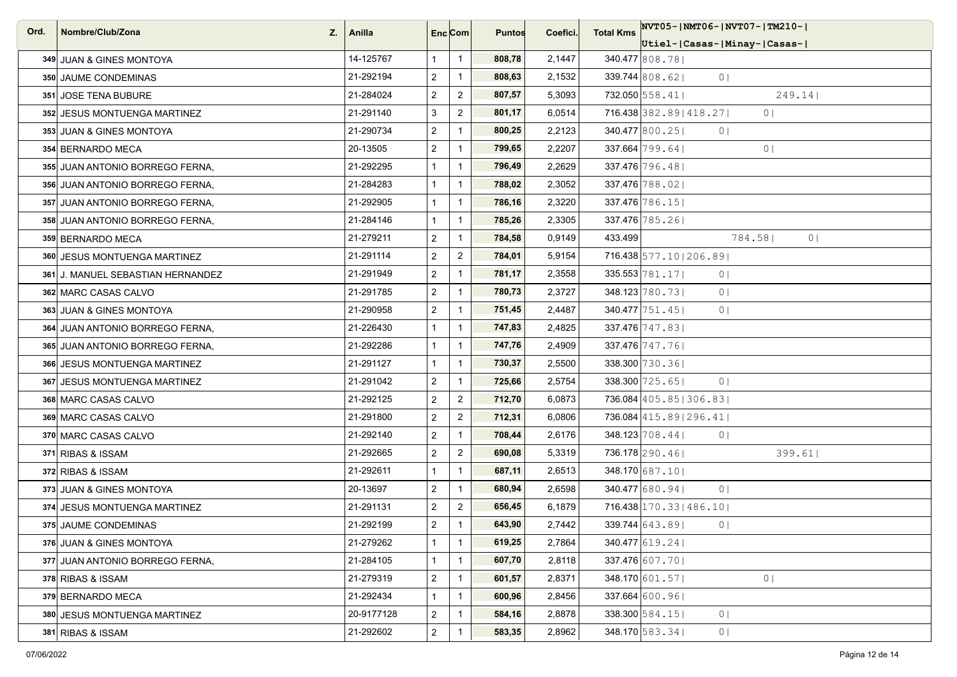| Ord. | Nombre/Club/Zona<br>Z.            | Anilla     | Enc <sub>i</sub> Com |                  | <b>Puntos</b> | Coefici. | <b>Total Kms</b> | NVT05- NMT06- NVT07- TM210-                  |
|------|-----------------------------------|------------|----------------------|------------------|---------------|----------|------------------|----------------------------------------------|
|      |                                   |            |                      |                  |               |          |                  | Utiel- Casas- Minay- Casas-                  |
|      | 349 JUAN & GINES MONTOYA          | 14-125767  | $\mathbf{1}$         | $\overline{1}$   | 808,78        | 2,1447   |                  | 340.477 808.78                               |
|      | 350 JAUME CONDEMINAS              | 21-292194  | $\overline{2}$       | $\mathbf{1}$     | 808,63        | 2,1532   |                  | $339.744$ 808.621<br>0 <sup>1</sup>          |
|      | 351 JOSE TENA BUBURE              | 21-284024  | $\overline{2}$       | $\boldsymbol{2}$ | 807,57        | 5,3093   |                  | 732.050 558.41<br>249.14                     |
|      | 352 JESUS MONTUENGA MARTINEZ      | 21-291140  | 3                    | $\overline{2}$   | 801,17        | 6,0514   |                  | 716.438 382.89   418.27  <br>0 <sub>1</sub>  |
|      | 353 JUAN & GINES MONTOYA          | 21-290734  | $\overline{2}$       | $\mathbf{1}$     | 800,25        | 2,2123   |                  | 340.477 800.25<br>0 <sub>1</sub>             |
|      | 354 BERNARDO MECA                 | 20-13505   | $\overline{2}$       | $\mathbf{1}$     | 799,65        | 2,2207   |                  | $337.664$ 799.64<br>0 <sub>1</sub>           |
|      | 355 JUAN ANTONIO BORREGO FERNA.   | 21-292295  | $\mathbf{1}$         | $\mathbf{1}$     | 796,49        | 2,2629   |                  | 337.476 796.48                               |
|      | 356 JUAN ANTONIO BORREGO FERNA,   | 21-284283  | $\mathbf{1}$         | $\mathbf{1}$     | 788,02        | 2,3052   |                  | 337.476 788.021                              |
|      | 357 JUAN ANTONIO BORREGO FERNA,   | 21-292905  | $\mathbf{1}$         | $\mathbf{1}$     | 786,16        | 2,3220   |                  | 337.476 786.15                               |
|      | 358 JUAN ANTONIO BORREGO FERNA,   | 21-284146  | $\mathbf{1}$         | $\mathbf{1}$     | 785,26        | 2,3305   |                  | 337.476 785.26                               |
|      | 359 BERNARDO MECA                 | 21-279211  | $\overline{2}$       | $\mathbf{1}$     | 784,58        | 0,9149   | 433.499          | 784.58<br>0 <sup>1</sup>                     |
|      | 360 JESUS MONTUENGA MARTINEZ      | 21-291114  | $\overline{2}$       | $\overline{2}$   | 784,01        | 5,9154   |                  | 716.438 577.10   206.89                      |
|      | 361 J. MANUEL SEBASTIAN HERNANDEZ | 21-291949  | $\overline{2}$       | $\mathbf{1}$     | 781,17        | 2,3558   |                  | $335.553 \mid 781.17 \mid$<br>0 <sub>1</sub> |
|      | 362 MARC CASAS CALVO              | 21-291785  | $\overline{2}$       | $\mathbf{1}$     | 780,73        | 2,3727   |                  | 348.123 780.73<br>0 <sup>1</sup>             |
|      | 363 JUAN & GINES MONTOYA          | 21-290958  | $\overline{2}$       | $\mathbf{1}$     | 751,45        | 2,4487   |                  | $340.477$ 751.45<br>0 <sub>1</sub>           |
|      | 364 JUAN ANTONIO BORREGO FERNA,   | 21-226430  | $\mathbf{1}$         | $\mathbf{1}$     | 747,83        | 2,4825   |                  | 337.476 747.83                               |
|      | 365 JUAN ANTONIO BORREGO FERNA,   | 21-292286  | $\mathbf{1}$         | $\mathbf{1}$     | 747,76        | 2,4909   |                  | 337.476 747.76                               |
|      | 366 JESUS MONTUENGA MARTINEZ      | 21-291127  | $\mathbf{1}$         | $\mathbf{1}$     | 730,37        | 2,5500   |                  | 338.300 730.361                              |
|      | 367 JESUS MONTUENGA MARTINEZ      | 21-291042  | $\overline{2}$       | $\mathbf{1}$     | 725,66        | 2,5754   |                  | 338.300 725.65<br>0 <sup>1</sup>             |
|      | 368 MARC CASAS CALVO              | 21-292125  | $\overline{2}$       | $\overline{2}$   | 712,70        | 6,0873   |                  | 736.084 405.85   306.83                      |
|      | 369 MARC CASAS CALVO              | 21-291800  | $\overline{2}$       | $\overline{2}$   | 712,31        | 6,0806   |                  | 736.084 415.89   296.41                      |
|      | 370 MARC CASAS CALVO              | 21-292140  | $\overline{2}$       | $\mathbf{1}$     | 708,44        | 2,6176   |                  | $348.123 \mid 708.44 \mid$<br>0 <sub>1</sub> |
|      | 371 RIBAS & ISSAM                 | 21-292665  | $\overline{2}$       | $\overline{2}$   | 690,08        | 5,3319   |                  | 736.178 290.46<br>399.61                     |
|      | 372 RIBAS & ISSAM                 | 21-292611  | $\mathbf{1}$         | $\mathbf{1}$     | 687,11        | 2,6513   |                  | 348.170 687.10                               |
|      | 373 JUAN & GINES MONTOYA          | 20-13697   | $\overline{2}$       | $\mathbf{1}$     | 680,94        | 2,6598   |                  | 340.477 680.94<br>0 <sup>1</sup>             |
|      | 374 JESUS MONTUENGA MARTINEZ      | 21-291131  | $\overline{2}$       | $\overline{2}$   | 656,45        | 6,1879   |                  | 716.438 170.33   486.10                      |
|      | 375 JAUME CONDEMINAS              | 21-292199  | $\overline{2}$       | $\mathbf{1}$     | 643,90        | 2,7442   |                  | 339.744 643.89<br>0 <sub>1</sub>             |
|      | 376 JUAN & GINES MONTOYA          | 21-279262  | $\mathbf{1}$         | $\mathbf{1}$     | 619,25        | 2,7864   |                  | 340.477 619.24                               |
|      | 377 JUAN ANTONIO BORREGO FERNA,   | 21-284105  | $\mathbf{1}$         | $\mathbf{1}$     | 607,70        | 2,8118   |                  | 337.476 607.701                              |
|      | 378 RIBAS & ISSAM                 | 21-279319  | $\overline{2}$       | $\mathbf{1}$     | 601,57        | 2,8371   |                  | 348.170 601.57<br>0 <sub>1</sub>             |
|      | 379 BERNARDO MECA                 | 21-292434  | $\mathbf{1}$         | $\mathbf{1}$     | 600,96        | 2,8456   |                  | 337.664 600.96                               |
|      | 380 JESUS MONTUENGA MARTINEZ      | 20-9177128 | $\overline{2}$       | $\mathbf{1}$     | 584,16        | 2,8878   |                  | 338.300 584.15<br>0 <sup>1</sup>             |
|      | 381 RIBAS & ISSAM                 | 21-292602  | $\overline{2}$       | $\mathbf{1}$     | 583,35        | 2,8962   |                  | 348.170 583.34<br>0 <sub>1</sub>             |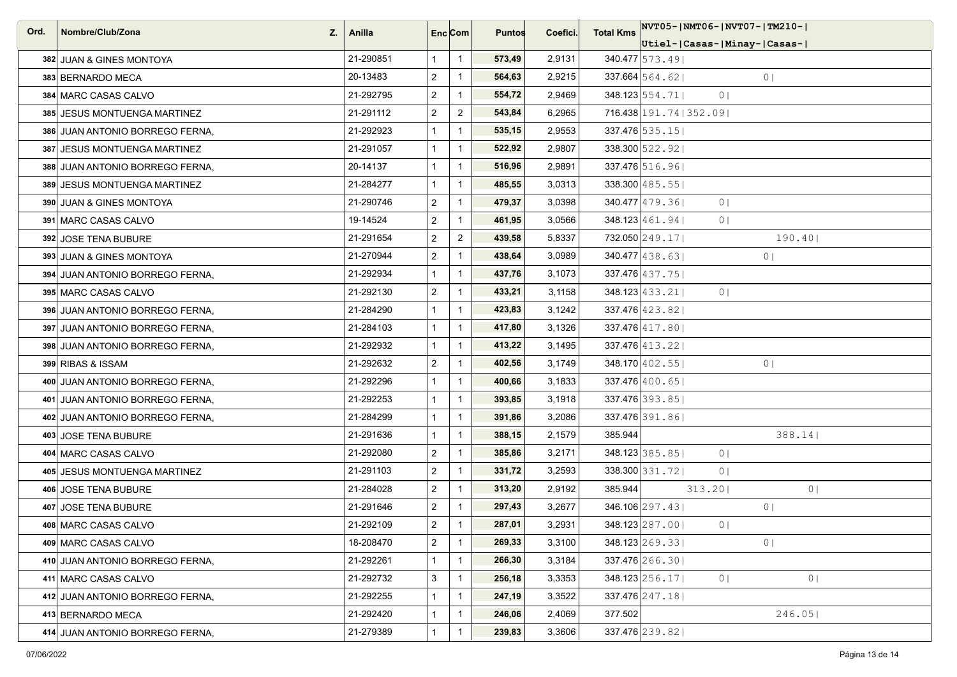| Ord. | Nombre/Club/Zona<br>Z.          | ∣ Anilla  |                | Enc <sub>i</sub> Com | <b>Puntos</b> | Coefici. | <b>Total Kms</b> |                            | NVT05- NMT06- NVT07- TM210- |
|------|---------------------------------|-----------|----------------|----------------------|---------------|----------|------------------|----------------------------|-----------------------------|
|      |                                 |           |                |                      |               |          |                  |                            | Utiel- Casas- Minay- Casas- |
|      | 382 JUAN & GINES MONTOYA        | 21-290851 | $\mathbf{1}$   | $\overline{1}$       | 573,49        | 2,9131   |                  | $340.477$ 573.49           |                             |
|      | 383 BERNARDO MECA               | 20-13483  | $\overline{2}$ | $\overline{1}$       | 564,63        | 2,9215   |                  | $337.664$ 564.62           | 0 <sub>1</sub>              |
|      | 384 MARC CASAS CALVO            | 21-292795 | $\overline{2}$ | $\overline{1}$       | 554,72        | 2,9469   |                  | $348.123 \mid 554.71 \mid$ | 0 <sub>1</sub>              |
|      | 385 JESUS MONTUENGA MARTINEZ    | 21-291112 | $\overline{2}$ | $\overline{2}$       | 543,84        | 6,2965   |                  | 716.438 191.74   352.09    |                             |
|      | 386 JUAN ANTONIO BORREGO FERNA, | 21-292923 | $\mathbf{1}$   | $\overline{1}$       | 535,15        | 2,9553   |                  | $337.476$ 535.15           |                             |
|      | 387 JESUS MONTUENGA MARTINEZ    | 21-291057 | $\mathbf{1}$   | $\overline{1}$       | 522,92        | 2,9807   |                  | 338.300 522.92             |                             |
|      | 388 JUAN ANTONIO BORREGO FERNA, | 20-14137  | $\mathbf{1}$   | $\mathbf{1}$         | 516,96        | 2,9891   |                  | 337.476 516.96             |                             |
|      | 389 JESUS MONTUENGA MARTINEZ    | 21-284277 | $\mathbf{1}$   | $\overline{1}$       | 485,55        | 3,0313   |                  | $338.300 \mid 485.55 \mid$ |                             |
|      | 390 JUAN & GINES MONTOYA        | 21-290746 | $\overline{2}$ | $\overline{1}$       | 479,37        | 3,0398   |                  | $340.477$ 479.36           | 0 <sub>1</sub>              |
|      | 391 MARC CASAS CALVO            | 19-14524  | $\overline{2}$ | $\mathbf{1}$         | 461,95        | 3,0566   |                  | $348.123 \mid 461.94 \mid$ | 0 <sub>1</sub>              |
|      | 392 JOSE TENA BUBURE            | 21-291654 | $\overline{2}$ | $\overline{2}$       | 439,58        | 5,8337   |                  | 732.050 249.17             | 190.40                      |
|      | 393 JUAN & GINES MONTOYA        | 21-270944 | $\overline{2}$ | $\overline{1}$       | 438,64        | 3,0989   |                  | $340.477$ 438.63           | 0 <sub>1</sub>              |
|      | 394 JUAN ANTONIO BORREGO FERNA. | 21-292934 | $\mathbf{1}$   | $\overline{1}$       | 437,76        | 3,1073   |                  | 337.476 437.75             |                             |
|      | 395 MARC CASAS CALVO            | 21-292130 | $\overline{2}$ | $\overline{1}$       | 433,21        | 3,1158   |                  | $348.123 \mid 433.21 \mid$ | 0 <sup>1</sup>              |
|      | 396 JUAN ANTONIO BORREGO FERNA, | 21-284290 | $\mathbf{1}$   | $\overline{1}$       | 423,83        | 3,1242   |                  | 337.476 423.82             |                             |
|      | 397 JUAN ANTONIO BORREGO FERNA, | 21-284103 | $\mathbf{1}$   | $\overline{1}$       | 417,80        | 3,1326   |                  | $337.476$ $ 417.80 $       |                             |
|      | 398 JUAN ANTONIO BORREGO FERNA, | 21-292932 | $\mathbf{1}$   | $\overline{1}$       | 413,22        | 3,1495   |                  | 337.476 413.22             |                             |
|      | 399 RIBAS & ISSAM               | 21-292632 | $\overline{2}$ | $\overline{1}$       | 402,56        | 3,1749   |                  | 348.170 402.55             | 0 <sub>1</sub>              |
|      | 400 JUAN ANTONIO BORREGO FERNA, | 21-292296 | $\mathbf{1}$   | $\overline{1}$       | 400,66        | 3,1833   |                  | $337.476$ 400.65           |                             |
|      | 401 JUAN ANTONIO BORREGO FERNA, | 21-292253 | $\mathbf{1}$   | $\overline{1}$       | 393,85        | 3,1918   |                  | $337.476$ 393.85           |                             |
|      | 402 JUAN ANTONIO BORREGO FERNA, | 21-284299 | $\mathbf{1}$   | $\overline{1}$       | 391,86        | 3,2086   |                  | 337.476 391.86             |                             |
|      | 403 JOSE TENA BUBURE            | 21-291636 | $\mathbf{1}$   | $\overline{1}$       | 388,15        | 2,1579   | 385.944          |                            | $388.14$                    |
|      | 404 MARC CASAS CALVO            | 21-292080 | $\overline{2}$ | $\overline{1}$       | 385,86        | 3,2171   |                  | 348.123 385.85             | 0 <sup>1</sup>              |
|      | 405 JESUS MONTUENGA MARTINEZ    | 21-291103 | $\overline{2}$ | $\overline{1}$       | 331,72        | 3,2593   |                  | 338.300 331.72             | 0 <sup>1</sup>              |
|      | 406 JOSE TENA BUBURE            | 21-284028 | $\overline{2}$ | $\overline{1}$       | 313,20        | 2,9192   | 385.944          | 313.20                     | 0                           |
|      | 407 JOSE TENA BUBURE            | 21-291646 | $\overline{2}$ | $\overline{1}$       | 297,43        | 3,2677   |                  | 346.106 297.43             | 0 <sub>1</sub>              |
|      | 408 MARC CASAS CALVO            | 21-292109 | $\overline{c}$ | $\overline{1}$       | 287,01        | 3,2931   |                  | 348.123 287.00             | 0 <sub>1</sub>              |
|      | 409 MARC CASAS CALVO            | 18-208470 | $\overline{2}$ | $\overline{1}$       | 269,33        | 3,3100   |                  | $348.123 \mid 269.33 \mid$ | 0 <sub>1</sub>              |
|      | 410 JUAN ANTONIO BORREGO FERNA, | 21-292261 | $\mathbf{1}$   | $\overline{1}$       | 266,30        | 3,3184   |                  | 337.476 266.30             |                             |
|      | 411 MARC CASAS CALVO            | 21-292732 | 3              | $\overline{1}$       | 256,18        | 3,3353   |                  | $348.123 \mid 256.17 \mid$ | 0 <sub>1</sub><br>0         |
|      | 412 JUAN ANTONIO BORREGO FERNA, | 21-292255 | $\mathbf{1}$   | $\mathbf{1}$         | 247,19        | 3,3522   |                  | $337.476$ $247.18$         |                             |
|      | 413 BERNARDO MECA               | 21-292420 | $\mathbf{1}$   | $\overline{1}$       | 246,06        | 2,4069   | 377.502          |                            | 246.05                      |
|      | 414 JUAN ANTONIO BORREGO FERNA, | 21-279389 | $\mathbf{1}$   | $\overline{1}$       | 239,83        | 3,3606   |                  | 337.476 239.82             |                             |